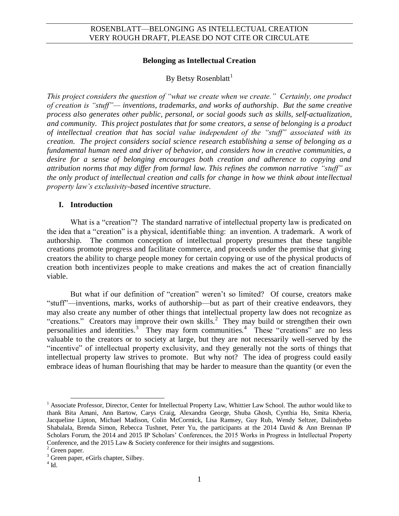#### **Belonging as Intellectual Creation**

# By Betsy Rosenblatt<sup>1</sup>

*This project considers the question of "what we create when we create." Certainly, one product of creation is "stuff"— inventions, trademarks, and works of authorship. But the same creative process also generates other public, personal, or social goods such as skills, self-actualization, and community. This project postulates that for some creators, a sense of belonging is a product of intellectual creation that has social value independent of the "stuff" associated with its creation. The project considers social science research establishing a sense of belonging as a fundamental human need and driver of behavior, and considers how in creative communities, a desire for a sense of belonging encourages both creation and adherence to copying and attribution norms that may differ from formal law. This refines the common narrative "stuff" as the only product of intellectual creation and calls for change in how we think about intellectual property law's exclusivity-based incentive structure.* 

#### **I. Introduction**

What is a "creation"? The standard narrative of intellectual property law is predicated on the idea that a "creation" is a physical, identifiable thing: an invention. A trademark. A work of authorship. The common conception of intellectual property presumes that these tangible creations promote progress and facilitate commerce, and proceeds under the premise that giving creators the ability to charge people money for certain copying or use of the physical products of creation both incentivizes people to make creations and makes the act of creation financially viable.

But what if our definition of "creation" weren't so limited? Of course, creators make "stuff"—inventions, marks, works of authorship—but as part of their creative endeavors, they may also create any number of other things that intellectual property law does not recognize as "creations." Creators may improve their own skills.<sup>2</sup> They may build or strengthen their own personalities and identities.<sup>3</sup> They may form communities.<sup>4</sup> These "creations" are no less valuable to the creators or to society at large, but they are not necessarily well-served by the "incentive" of intellectual property exclusivity, and they generally not the sorts of things that intellectual property law strives to promote. But why not? The idea of progress could easily embrace ideas of human flourishing that may be harder to measure than the quantity (or even the

<sup>&</sup>lt;sup>1</sup> Associate Professor, Director, Center for Intellectual Property Law, Whittier Law School. The author would like to thank Bita Amani, Ann Bartow, Carys Craig, Alexandra George, Shuba Ghosh, Cynthia Ho, Smita Kheria, Jacqueline Lipton, Michael Madison, Colin McCormick, Lisa Ramsey, Guy Rub, Wendy Seltzer, Dalindyebo Shabalala, Brenda Simon, Rebecca Tushnet, Peter Yu, the participants at the 2014 David & Ann Brennan IP Scholars Forum, the 2014 and 2015 IP Scholars' Conferences, the 2015 Works in Progress in Intellectual Property Conference, and the 2015 Law & Society conference for their insights and suggestions.

 $2$  Green paper.

<sup>&</sup>lt;sup>3</sup> Green paper, eGirls chapter, Silbey.

 $4$  Id.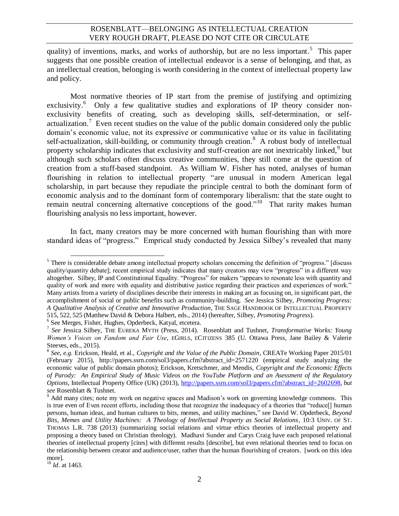quality) of inventions, marks, and works of authorship, but are no less important.<sup>5</sup> This paper suggests that one possible creation of intellectual endeavor is a sense of belonging, and that, as an intellectual creation, belonging is worth considering in the context of intellectual property law and policy.

Most normative theories of IP start from the premise of justifying and optimizing exclusivity.<sup>6</sup> Only a few qualitative studies and explorations of IP theory consider nonexclusivity benefits of creating, such as developing skills, self-determination, or selfactualization.<sup>7</sup> Even recent studies on the value of the public domain considered only the public domain's economic value, not its expressive or communicative value or its value in facilitating self-actualization, skill-building, or community through creation.<sup>8</sup> A robust body of intellectual property scholarship indicates that exclusivity and stuff-creation are not inextricably linked,<sup>9</sup> but although such scholars often discuss creative communities, they still come at the question of creation from a stuff-based standpoint. As William W. Fisher has noted, analyses of human flourishing in relation to intellectual property "are unusual in modern American legal scholarship, in part because they repudiate the principle central to both the dominant form of economic analysis and to the dominant form of contemporary liberalism: that the state ought to remain neutral concerning alternative conceptions of the good."<sup>10</sup> That rarity makes human flourishing analysis no less important, however.

In fact, many creators may be more concerned with human flourishing than with more standard ideas of "progress." Emprical study conducted by Jessica Silbey's revealed that many

6 See Merges, Fisher, Hughes, Opderbeck, Katyal, etcetera.

<sup>&</sup>lt;sup>5</sup>There is considerable debate among intellectual property scholars concerning the definition of "progress." [discuss] quality/quantity debate]; recent empirical study indicates that many creators may view "progress" in a different way altogether. Silbey, IP and Constitutional Equality. "Progress" for makers "appears to resonate less with quantity and quality of work and more with equality and distributive justice regarding their practices and experiences of work." Many artists from a variety of disciplines describe their interests in making art as focusing on, in significant part, the accomplishment of social or public benefits such as community-building. *See* Jessica Silbey, *Promoting Progress: A Qualitative Analysis of Creative and Innovative Production*, THE SAGE HANDBOOK OF INTELLECTUAL PROPERTY 515, 522, 525 (Matthew David & Debora Halbert, eds., 2014) (hereafter, Silbey, *Promoting Progress*).

<sup>7</sup> *See* Jessica Silbey, THE EUREKA MYTH (Press, 2014). Rosenblatt and Tushnet, *Transformative Works: Young Women's Voices on Fandom and Fair Use*, EGIRLS, ECITIZENS 385 (U. Ottawa Press, Jane Bailey & Valerie Steeves, eds., 2015).

<sup>8</sup> *See, e.g.* Erickson, Heald, et al., *Copyright and the Value of the Public Domain*, CREATe Working Paper 2015/01 (February 2015), http://papers.ssrn.com/sol3/papers.cfm?abstract\_id=2571220 (empirical study analyzing the economic value of public domain photos); Erickson, Kretschmer, and Mendis, *Copyright and the Economic Effects of Parody: An Empirical Study of Music Videos on the YouTube Platform and an Asessment of the Regulatory Options*, Intellectual Property Office (UK) (2013), [http://papers.ssrn.com/sol3/papers.cfm?abstract\\_id=2602698,](http://papers.ssrn.com/sol3/papers.cfm?abstract_id=2602698) *but see* Rosenblatt & Tushnet.

<sup>&</sup>lt;sup>9</sup> Add many cites; note my work on negative spaces and Madison's work on governing knowledge commons. This is true even of Even recent efforts, including those that recognize the inadequacy of a theories that "reduce[] human persons, human ideas, and human cultures to bits, memes, and utility machines," see David W. Opderbeck, *Beyond Bits, Memes and Utility Machines: A Theology of Intellectual Property as Social Relations*, 10:3 UNIV. OF ST. THOMAS L.R. 738 (2013) (summarizing social relations and virtue ethics theories of intellectual property and proposing a theory based on Christian theology). Madhavi Sunder and Carys Craig have each proposed relational theories of intellectual property [cites] with different results [describe], but even relational theories tend to focus on the relationship between creator and audience/user, rather than the human flourishing of creators. [work on this idea more].

 $\frac{10}{10}$  *Id.* at 1463.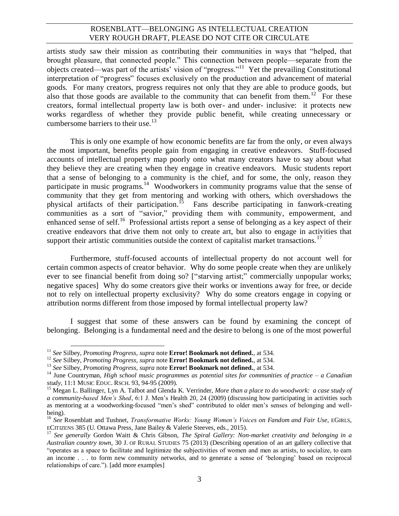artists study saw their mission as contributing their communities in ways that "helped, that brought pleasure, that connected people." This connection between people—separate from the objects created—was part of the artists' vision of "progress."<sup>11</sup> Yet the prevailing Constitutional interpretation of "progress" focuses exclusively on the production and advancement of material goods. For many creators, progress requires not only that they are able to produce goods, but also that those goods are available to the community that can benefit from them.<sup>12</sup> For these creators, formal intellectual property law is both over- and under- inclusive: it protects new works regardless of whether they provide public benefit, while creating unnecessary or cumbersome barriers to their use. $13$ 

<span id="page-2-0"></span>This is only one example of how economic benefits are far from the only, or even always the most important, benefits people gain from engaging in creative endeavors. Stuff-focused accounts of intellectual property map poorly onto what many creators have to say about what they believe they are creating when they engage in creative endeavors. Music students report that a sense of belonging to a community is the chief, and for some, the only, reason they participate in music programs.<sup>14</sup> Woodworkers in community programs value that the sense of community that they get from mentoring and working with others, which overshadows the physical artifacts of their participation.<sup>15</sup> Fans describe participating in fanwork-creating communities as a sort of "savior," providing them with community, empowerment, and enhanced sense of self.<sup>16</sup> Professional artists report a sense of belonging as a key aspect of their creative endeavors that drive them not only to create art, but also to engage in activities that support their artistic communities outside the context of capitalist market transactions.<sup>17</sup>

Furthermore, stuff-focused accounts of intellectual property do not account well for certain common aspects of creator behavior. Why do some people create when they are unlikely ever to see financial benefit from doing so? ["starving artist;" commercially unpopular works; negative spaces] Why do some creators give their works or inventions away for free, or decide not to rely on intellectual property exclusivity? Why do some creators engage in copying or attribution norms different from those imposed by formal intellectual property law?

I suggest that some of these answers can be found by examining the concept of belonging. Belonging is a fundamental need and the desire to belong is one of the most powerful

<span id="page-2-1"></span> $\overline{\phantom{a}}$ 

<sup>11</sup> *See* Silbey, *Promoting Progress, supra* note **Error! Bookmark not defined.**, at 534.

<sup>12</sup> *See* Silbey, *Promoting Progress, supra* note **Error! Bookmark not defined.**, at 534.

<sup>13</sup> *See* Silbey, *Promoting Progress, supra* note **Error! Bookmark not defined.**, at 534.

<sup>14</sup> June Countryman, *High school music programmes as potential sites for communities of practice – a Canadian study*, 11:1 MUSIC EDUC. RSCH. 93, 94-95 (2009).

<sup>&</sup>lt;sup>15</sup> Megan L. Ballinger, Lyn A. Talbot and Glenda K. Verrinder, *More than a place to do woodwork: a case study of a community-based Men's Shed*, 6:1 J. Men's Health 20, 24 (2009) (discussing how participating in activities such as mentoring at a woodworking-focused "men's shed" contributed to older men's senses of belonging and wellbeing).

<sup>16</sup> *See* Rosenblatt and Tushnet, *Transformative Works: Young Women's Voices on Fandom and Fair Use*, EGIRLS, ECITIZENS 385 (U. Ottawa Press, Jane Bailey & Valerie Steeves, eds., 2015).

<sup>17</sup> *See generally* Gordon Waitt & Chris Gibson, *The Spiral Gallery: Non-market creativity and belonging in a Australian country town*, 30 J. OF RURAL STUDIES 75 (2013) (Describing operation of an art gallery collective that "operates as a space to facilitate and legitimize the subjectivities of women and men as artists, to socialize, to earn an income . . . to form new community networks, and to generate a sense of 'belonging' based on reciprocal relationships of care."). [add more examples]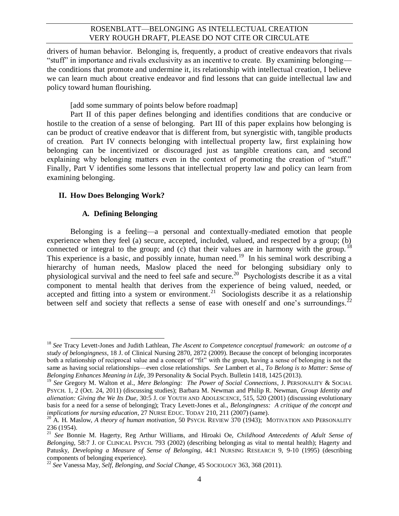drivers of human behavior. Belonging is, frequently, a product of creative endeavors that rivals "stuff" in importance and rivals exclusivity as an incentive to create. By examining belonging the conditions that promote and undermine it, its relationship with intellectual creation, I believe we can learn much about creative endeavor and find lessons that can guide intellectual law and policy toward human flourishing.

[add some summary of points below before roadmap]

Part II of this paper defines belonging and identifies conditions that are conducive or hostile to the creation of a sense of belonging. Part III of this paper explains how belonging is can be product of creative endeavor that is different from, but synergistic with, tangible products of creation. Part IV connects belonging with intellectual property law, first explaining how belonging can be incentivized or discouraged just as tangible creations can, and second explaining why belonging matters even in the context of promoting the creation of "stuff." Finally, Part V identifies some lessons that intellectual property law and policy can learn from examining belonging.

#### **II. How Does Belonging Work?**

#### <span id="page-3-3"></span><span id="page-3-2"></span><span id="page-3-1"></span><span id="page-3-0"></span>**A. Defining Belonging**

Belonging is a feeling—a personal and contextually-mediated emotion that people experience when they feel (a) secure, accepted, included, valued, and respected by a group; (b) connected or integral to the group; and  $(c)$  that their values are in harmony with the group.<sup>18</sup> This experience is a basic, and possibly innate, human need.<sup>19</sup> In his seminal work describing a hierarchy of human needs, Maslow placed the need for belonging subsidiary only to physiological survival and the need to feel safe and secure. 20 Psychologists describe it as a vital component to mental health that derives from the experience of being valued, needed, or accepted and fitting into a system or environment.<sup>21</sup> Sociologists describe it as a relationship between self and society that reflects a sense of ease with oneself and one's surroundings.<sup>22</sup>

 $\overline{a}$ <sup>18</sup> *See* Tracy Levett-Jones and Judith Lathlean, *The Ascent to Competence conceptual framework: an outcome of a study of belongingness*, 18 J. of Clinical Nursing 2870, 2872 (2009). Because the concept of belonging incorporates both a relationship of reciprocal value and a concept of "fit" with the group, having a sense of belonging is not the same as having social relationships—even close relationships. *See* Lambert et al., *To Belong is to Matter: Sense of Belonging Enhances Meaning in Life*, 39 Personality & Social Psych. Bulletin 1418, 1425 (2013).

<sup>19</sup> *See* Gregory M. Walton et al., *Mere Belonging: The Power of Social Connections*, J. PERSONALITY & SOCIAL PSYCH. 1, 2 (Oct. 24, 2011) (discussing studies); Barbara M. Newman and Philip R. Newman, *Group Identity and alienation: Giving the We Its Due*, 30:5 J. OF YOUTH AND ADOLESCENCE, 515, 520 (2001) (discussing evolutionary basis for a need for a sense of belonging); Tracy Levett-Jones et al., *Belongingness: A critique of the concept and implications for nursing education*, 27 NURSE EDUC. TODAY 210, 211 (2007) (same).

<sup>&</sup>lt;sup>20</sup> A. H. Maslow, *A theory of human motivation*, 50 PSYCH. REVIEW 370 (1943); MOTIVATION AND PERSONALITY 236 (1954).

<sup>21</sup> *See* Bonnie M. Hagerty, Reg Arthur Williams, and Hiroaki Oe, *Childhood Antecedents of Adult Sense of Belonging*, 58:7 J. OF CLINICAL PSYCH. 793 (2002) (describing belonging as vital to mental health); Hagerty and Patusky, *Developing a Measure of Sense of Belonging*, 44:1 NURSING RESEARCH 9, 9-10 (1995) (describing components of belonging experience).

<sup>22</sup> *See* Vanessa May, *Self, Belonging, and Social Change*, 45 SOCIOLOGY 363, 368 (2011).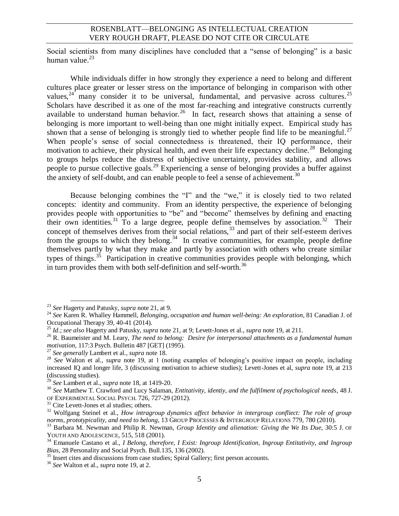Social scientists from many disciplines have concluded that a "sense of belonging" is a basic human value.<sup>23</sup>

<span id="page-4-2"></span>While individuals differ in how strongly they experience a need to belong and different cultures place greater or lesser stress on the importance of belonging in comparison with other values,  $24$  many consider it to be universal, fundamental, and pervasive across cultures. 25 Scholars have described it as one of the most far-reaching and integrative constructs currently available to understand human behavior.<sup>26</sup> In fact, research shows that attaining a sense of belonging is more important to well-being than one might initially expect. Empirical study has shown that a sense of belonging is strongly tied to whether people find life to be meaningful.<sup>27</sup> When people's sense of social connectedness is threatened, their IQ performance, their motivation to achieve, their physical health, and even their life expectancy decline.<sup>28</sup> Belonging to groups helps reduce the distress of subjective uncertainty, provides stability, and allows people to pursue collective goals.<sup>29</sup> Experiencing a sense of belonging provides a buffer against the anxiety of self-doubt, and can enable people to feel a sense of achievement.<sup>30</sup>

<span id="page-4-1"></span><span id="page-4-0"></span>Because belonging combines the "I" and the "we," it is closely tied to two related concepts: identity and community. From an identity perspective, the experience of belonging provides people with opportunities to "be" and "become" themselves by defining and enacting their own identities.<sup>31</sup> To a large degree, people define themselves by association.<sup>32</sup> Their concept of themselves derives from their social relations,<sup>33</sup> and part of their self-esteem derives from the groups to which they belong.<sup>34</sup> In creative communities, for example, people define themselves partly by what they make and partly by association with others who create similar types of things.<sup>35</sup> Participation in creative communities provides people with belonging, which in turn provides them with both self-definition and self-worth.<sup>36</sup>

<sup>23</sup> *See* Hagerty and Patusky, *supra* not[e 21,](#page-3-0) at 9.

<sup>24</sup> *See* Karen R. Whalley Hammell, *Belonging, occupation and human well-being: An exploration*, 81 Canadian J. of Occupational Therapy 39, 40-41 (2014).

<sup>25</sup> *Id.*; *see also* Hagerty and Patusky, *supra* note [21,](#page-3-0) at 9; Levett-Jones et al., *supra* note [19,](#page-3-1) at 211.

<sup>&</sup>lt;sup>26</sup> R. Baumeister and M. Leary, *The need to belong: Desire for interpersonal attachments as a fundamental human motivation*, 117:3 Psych. Bulletin 487 [GET] (1995).

<sup>27</sup> *See generally* Lambert et al., *supra* not[e 18.](#page-3-2)

<sup>28</sup> *See* Walton et al., *supra* note [19,](#page-3-1) at 1 (noting examples of belonging's positive impact on people, including increased IQ and longer life, 3 (discussing motivation to achieve studies); Levett-Jones et al, *supra* note [19,](#page-3-1) at 213 (discussing studies).

<sup>29</sup> *See* Lambert et al., *supra* not[e 18,](#page-3-2) at 1419-20.

<sup>30</sup> *See* Matthew T. Crawford and Lucy Salaman, *Entitativity, identiy, and the fulfilment of psychological needs*, 48 J. OF EXPERIMENTAL SOCIAL PSYCH. 726, 727-29 (2012).

<sup>&</sup>lt;sup>31</sup> Cite Levett-Jones et al studies; others.

<sup>&</sup>lt;sup>32</sup> Wolfgang Steinel et al., *How intragroup dynamics affect behavior in intergroup confliect: The role of group norms, prototypicality, and need to belong*, 13 GROUP PROCESSES & INTERGROUP RELATIONS 779, 780 (2010).

<sup>33</sup> Barbara M. Newman and Philip R. Newman, *Group Identity and alienation: Giving the We Its Due*, 30:5 J. OF YOUTH AND ADOLESCENCE, 515, 518 (2001).

<sup>34</sup> Emanuele Castano et al., *I Belong, therefore, I Exist: Ingroup Identification, Ingroup Entitativity, and Ingroup Bias*, 28 Personality and Social Psych. Bull.135, 136 (2002).

<sup>&</sup>lt;sup>35</sup> Insert cites and discussions from case studies; Spiral Gallery; first person accounts.

<sup>36</sup> *See* Walton et al., *supra* not[e 19,](#page-3-1) at 2.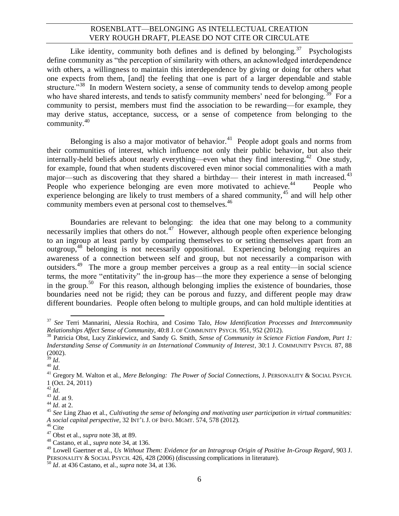<span id="page-5-0"></span>Like identity, community both defines and is defined by belonging.<sup>37</sup> Psychologists define community as "the perception of similarity with others, an acknowledged interdependence with others, a willingness to maintain this interdependence by giving or doing for others what one expects from them, [and] the feeling that one is part of a larger dependable and stable structure."<sup>38</sup> In modern Western society, a sense of community tends to develop among people who have shared interests, and tends to satisfy community members' need for belonging.<sup>39</sup> For a community to persist, members must find the association to be rewarding—for example, they may derive status, acceptance, success, or a sense of competence from belonging to the community. $40$ 

Belonging is also a major motivator of behavior.<sup>41</sup> People adopt goals and norms from their communities of interest, which influence not only their public behavior, but also their internally-held beliefs about nearly everything—even what they find interesting.<sup>42</sup> One study, for example, found that when students discovered even minor social commonalities with a math major—such as discovering that they shared a birthday— their interest in math increased.<sup>43</sup> People who experience belonging are even more motivated to achieve.<sup>44</sup> People who experience belonging are likely to trust members of a shared community,  $45$  and will help other community members even at personal cost to themselves.<sup>46</sup>

Boundaries are relevant to belonging: the idea that one may belong to a community necessarily implies that others do not.<sup>47</sup> However, although people often experience belonging to an ingroup at least partly by comparing themselves to or setting themselves apart from an outgroup,<sup>48</sup> belonging is not necessarily oppositional. Experiencing belonging requires an awareness of a connection between self and group, but not necessarily a comparison with outsiders.<sup>49</sup> The more a group member perceives a group as a real entity—in social science terms, the more "entitativity" the in-group has—the more they experience a sense of belonging in the group.<sup>50</sup> For this reason, although belonging implies the existence of boundaries, those boundaries need not be rigid; they can be porous and fuzzy, and different people may draw different boundaries. People often belong to multiple groups, and can hold multiple identities at

 $\overline{\phantom{a}}$ <sup>37</sup> *See* Terri Mannarini, Alessia Rochira, and Cosimo Talo, *How Identification Processes and Intercommunity Relationships Affect Sense of Community*, 40:8 J. OF COMMUNITY PSYCH. 951, 952 (2012).

<sup>38</sup> Patricia Obst, Lucy Zinkiewicz, and Sandy G. Smith, *Sense of Community in Science Fiction Fandom, Part 1: Inderstanding Sense of Community in an International Community of Interest*, 30:1 J. COMMUNITY PSYCH. 87, 88 (2002).

<sup>39</sup> *Id.*

<sup>40</sup> *Id.*

<sup>41</sup> Gregory M. Walton et al., *Mere Belonging: The Power of Social Connections*, J. PERSONALITY & SOCIAL PSYCH. 1 (Oct. 24, 2011)

<sup>42</sup> *Id.*

<sup>43</sup> *Id.* at 9.

 $^{44}$  *Id.* at 2.

<sup>45</sup> *See* Ling Zhao et al., *Cultivating the sense of belonging and motivating user participation in virtual communities: A social capital perspective*, 32 INT'L J. OF INFO. MGMT. 574, 578 (2012).

 $46$  Cite

<sup>47</sup> Obst et al., *supra* note [38,](#page-5-0) at 89.

<sup>48</sup> Castano, et al., *supra* not[e 34,](#page-4-0) at 136.

<sup>49</sup> Lowell Gaertner et al.*, Us Without Them: Evidence for an Intragroup Origin of Positive In-Group Regard*, 903 J. PERSONALITY & SOCIAL PSYCH. 426, 428 (2006) (discussing complications in literature).

<sup>50</sup> *Id*. at 436 Castano, et al., *supra* note [34,](#page-4-0) at 136.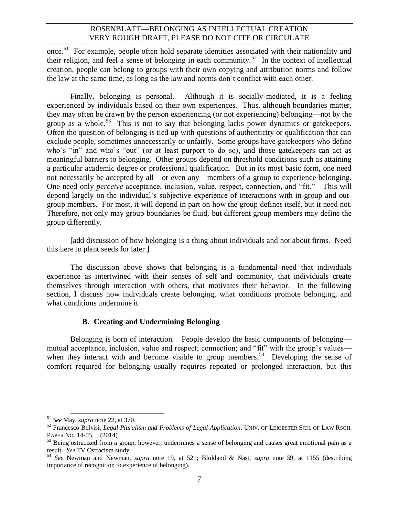once.<sup>51</sup> For example, people often hold separate identities associated with their nationality and their religion, and feel a sense of belonging in each community.<sup>52</sup> In the context of intellectual creation, people can belong to groups with their own copying and attribution norms and follow the law at the same time, as long as the law and norms don't conflict with each other.

Finally, belonging is personal. Although it is socially-mediated, it is a feeling experienced by individuals based on their own experiences. Thus, although boundaries matter, they may often be drawn by the person experiencing (or not experiencing) belonging—not by the group as a whole.<sup>53</sup> This is not to say that belonging lacks power dynamics or gatekeepers. Often the question of belonging is tied up with questions of authenticity or qualification that can exclude people, sometimes unnecessarily or unfairly. Some groups have gatekeepers who define who's "in" and who's "out" (or at least purport to do so), and those gatekeepers can act as meaningful barriers to belonging. Other groups depend on threshold conditions such as attaining a particular academic degree or professional qualification. But in its most basic form, one need not necessarily be accepted by all—or even any—members of a group to experience belonging. One need only *perceive* acceptance, inclusion, value, respect, connection, and "fit." This will depend largely on the individual's subjective experience of interactions with in-group and outgroup members. For most, it will depend in part on how the group defines itself, but it need not. Therefore, not only may group boundaries be fluid, but different group members may define the group differently.

[add discussion of how belonging is a thing about individuals and not about firms. Need this here to plant seeds for later.]

The discussion above shows that belonging is a fundamental need that individuals experience as intertwined with their senses of self and community, that individuals create themselves through interaction with others, that motivates their behavior. In the following section, I discuss how individuals create belonging, what conditions promote belonging, and what conditions undermine it.

#### **B. Creating and Undermining Belonging**

Belonging is born of interaction. People develop the basic components of belonging mutual acceptance, inclusion, value and respect; connection; and "fit" with the group's values when they interact with and become visible to group members.<sup>54</sup> Developing the sense of comfort required for belonging usually requires repeated or prolonged interaction, but this

 $\overline{a}$ <sup>51</sup> *See* May, *supra* not[e 22,](#page-3-3) at 370.

<sup>52</sup> Francesco Belvisi, *Legal Pluralism and Problems of Legal Application*, UNIV. OF LEICESTER SCH. OF LAW RSCH. PAPER NO. 14-05, (2014)

 $53$  Being ostracized from a group, however, undermines a sense of belonging and causes great emotional pain as a result. *See* TV Ostracism study.

<sup>54</sup> *See* Newman and Newman, *supra* note [19,](#page-3-1) at 521; Blokland & Nast, *supra* note [59,](#page-7-0) at 1155 (describing importance of recognition to experience of belonging).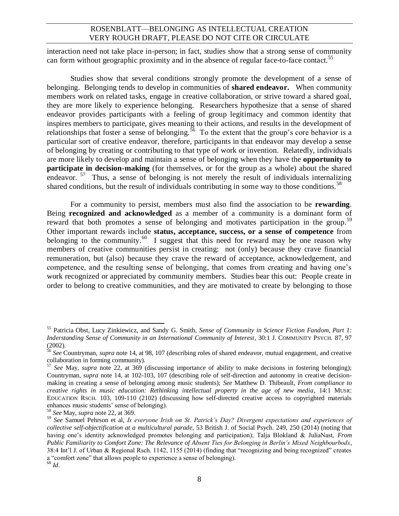interaction need not take place in-person; in fact, studies show that a strong sense of community can form without geographic proximity and in the absence of regular face-to-face contact.<sup>55</sup>

Studies show that several conditions strongly promote the development of a sense of belonging. Belonging tends to develop in communities of **shared endeavor.** When community members work on related tasks, engage in creative collaboration, or strive toward a shared goal, they are more likely to experience belonging. Researchers hypothesize that a sense of shared endeavor provides participants with a feeling of group legitimacy and common identity that inspires members to participate, gives meaning to their actions, and results in the development of relationships that foster a sense of belonging.<sup>56</sup> To the extent that the group's core behavior is a particular sort of creative endeavor, therefore, participants in that endeavor may develop a sense of belonging by creating or contributing to that type of work or invention. Relatedly, individuals are more likely to develop and maintain a sense of belonging when they have the **opportunity to participate in decision-making** (for themselves, or for the group as a whole) about the shared endeavor.<sup>57</sup> Thus, a sense of belonging is not merely the result of individuals internalizing shared conditions, but the result of individuals contributing in some way to those conditions.<sup>58</sup>

<span id="page-7-0"></span>For a community to persist, members must also find the association to be **rewarding**. Being **recognized and acknowledged** as a member of a community is a dominant form of reward that both promotes a sense of belonging and motivates participation in the group.<sup>59</sup> Other important rewards include **status, acceptance, success, or a sense of competence** from belonging to the community.<sup>60</sup> I suggest that this need for reward may be one reason why members of creative communities persist in creating: not (only) because they crave financial remuneration, but (also) because they crave the reward of acceptance, acknowledgement, and competence, and the resulting sense of belonging, that comes from creating and having one's work recognized or appreciated by community members. Studies bear this out: People create in order to belong to creative communities, and they are motivated to create by belonging to those

l <sup>55</sup> Patricia Obst, Lucy Zinkiewicz, and Sandy G. Smith, *Sense of Community in Science Fiction Fandom, Part 1: Inderstanding Sense of Community in an International Community of Interest*, 30:1 J. COMMUNITY PSYCH. 87, 97 (2002).

<sup>56</sup> *See* Countryman, *supra* note [14,](#page-2-0) at 98, 107 (describing roles of shared endeavor, mutual engagement, and creative collaboration in forming community).

<sup>57</sup> *See* May, *supra* note [22,](#page-3-3) at 369 (discussing importance of ability to make decisions in fostering belonging); Countryman, *supra* note [14,](#page-2-0) at 102-103, 107 (describing role of self-direction and autonomy in creative decisionmaking in creating a sense of belonging among music students); *See* Matthew D. Thibeault, *From compliance to creative rights in music education: Rethinking intellectual property in the age of new media*, 14:1 MUSIC EDUCATION RSCH. 103, 109-110 (2102) (discussing how self-directed creative access to copyrighted materials enhances music students' sense of belonging).

<sup>58</sup> *See* May, *supra* not[e 22,](#page-3-3) at 369.

<sup>59</sup> *See* Samuel Pehrson et al, *Is everyone Irish on St. Patrick's Day? Divergent expectations and experiences of collective self-objectification at a multicultural parade*, 53 British J. of Social Psych. 249, 250 (2014) (noting that having one's identity acknowledged promotes belonging and participation); Talja Blokland & JuliaNast, *From Public Familiarity to Comfort Zone: The Relevance of Absent Ties for Belonging in Berlin's Mixed Neighbourbods*, 38:4 Int'l J. of Urban & Regional Rsch. 1142, 1155 (2014) (finding that "recognizing and being recognized" creates a "comfort zone" that allows people to experience a sense of belonging). <sup>60</sup> *Id.*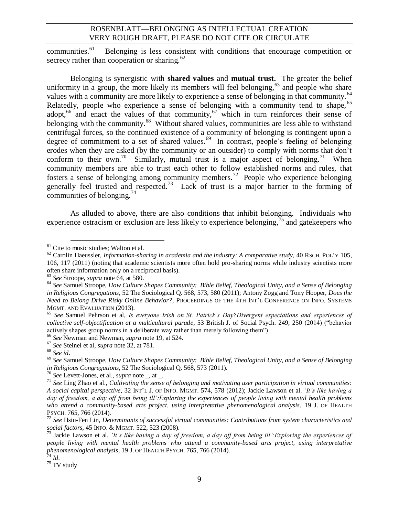communities. 61 Belonging is less consistent with conditions that encourage competition or secrecy rather than cooperation or sharing. $62$ 

<span id="page-8-0"></span>Belonging is synergistic with **shared values** and **mutual trust.** The greater the belief uniformity in a group, the more likely its members will feel belonging,  $63$  and people who share values with a community are more likely to experience a sense of belonging in that community.<sup>64</sup> Relatedly, people who experience a sense of belonging with a community tend to shape, <sup>65</sup> adopt,<sup>66</sup> and enact the values of that community,<sup>67</sup> which in turn reinforces their sense of belonging with the community.<sup>68</sup> Without shared values, communities are less able to withstand centrifugal forces, so the continued existence of a community of belonging is contingent upon a degree of commitment to a set of shared values.<sup>69</sup> In contrast, people's feeling of belonging erodes when they are asked (by the community or an outsider) to comply with norms that don't conform to their own.<sup>70</sup> Similarly, mutual trust is a major aspect of belonging.<sup>71</sup> When community members are able to trust each other to follow established norms and rules, that fosters a sense of belonging among community members.<sup>72</sup> People who experience belonging generally feel trusted and respected.<sup>73</sup> Lack of trust is a major barrier to the forming of communities of belonging.<sup>74</sup>

<span id="page-8-1"></span>As alluded to above, there are also conditions that inhibit belonging. Individuals who experience ostracism or exclusion are less likely to experience belonging,  $^{75}$  and gatekeepers who

 $\overline{a}$  $61$  Cite to music studies; Walton et al.

<sup>62</sup> Carolin Haeussler, *Information-sharing in academia and the industry: A comparative study*, 40 RSCH. POL'<sup>Y</sup> 105, 106, 117 (2011) (noting that academic scientists more often hold pro-sharing norms while industry scientists more often share information only on a reciprocal basis).

<sup>63</sup> *See* Stroope, *supra* not[e 64,](#page-8-0) at 580.

<sup>64</sup> *See* Samuel Stroope, *How Culture Shapes Community: Bible Belief, Theological Unity, and a Sense of Belonging in Religious Congregations*, 52 The Sociological Q. 568, 573, 580 (2011); Antony Zogg and Tony Hooper, *Does the Need to Belong Drive Risky Online Behavior?*, PROCEEDINGS OF THE 4TH INT'L CONFERENCE ON INFO. SYSTEMS MGMT. AND EVALUATION (2013).

<sup>65</sup> *See* Samuel Pehrson et al, *Is everyone Irish on St. Patrick's Day?Divergent expectations and experiences of collective self-objectification at a multicultural parade*, 53 British J. of Social Psych. 249, 250 (2014) ("behavior actively shapes group norms in a deliberate way rather than merely following them")

<sup>66</sup> *See* Newman and Newman, *supra* note [19,](#page-3-1) at 524.

<sup>67</sup> *See* Steinel et al, *supra* not[e 32,](#page-4-1) at 781.

<sup>68</sup> *See id*.

<sup>69</sup> *See* Samuel Stroope, *How Culture Shapes Community: Bible Belief, Theological Unity, and a Sense of Belonging in Religious Congregations*, 52 The Sociological Q. 568, 573 (2011).

<sup>70</sup> *See* Levett-Jones, et al., *supra* note \_, at \_.

<sup>71</sup> *See* Ling Zhao et al., *Cultivating the sense of belonging and motivating user participation in virtual communities: A social capital perspective*, 32 INT'L J. OF INFO. MGMT. 574, 578 (2012); Jackie Lawson et al. *'It's like having a day of freedom, a day off from being ill':Exploring the experiences of people living with mental health problems who attend a community-based arts project, using interpretative phenomenological analysis*, 19 J. OF HEALTH PSYCH. 765, 766 (2014).

<sup>72</sup> *See* Hsiu-Fen Lin, *Determinants of successful virtual communities: Contributions from system characteristics and social factors,* 45 INFO. & MGMT. 522, 523 (2008).

<sup>73</sup> Jackie Lawson et al. *'It's like having a day of freedom, a day off from being ill':Exploring the experiences of people living with mental health problems who attend a community-based arts project, using interpretative phenomenological analysis*, 19 J. OF HEALTH PSYCH. 765, 766 (2014).

<sup>74</sup> *Id.*

 $75$  TV study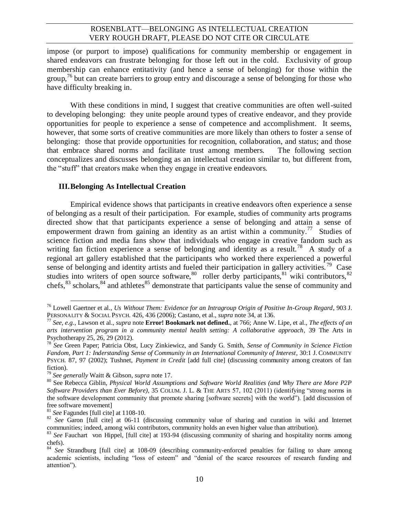impose (or purport to impose) qualifications for community membership or engagement in shared endeavors can frustrate belonging for those left out in the cold. Exclusivity of group membership can enhance entitativity (and hence a sense of belonging) for those within the group,<sup>76</sup> but can create barriers to group entry and discourage a sense of belonging for those who have difficulty breaking in.

With these conditions in mind, I suggest that creative communities are often well-suited to developing belonging: they unite people around types of creative endeavor, and they provide opportunities for people to experience a sense of competence and accomplishment. It seems, however, that some sorts of creative communities are more likely than others to foster a sense of belonging: those that provide opportunities for recognition, collaboration, and status; and those that embrace shared norms and facilitate trust among members. The following section conceptualizes and discusses belonging as an intellectual creation similar to, but different from, the "stuff" that creators make when they engage in creative endeavors.

#### <span id="page-9-0"></span>**III.Belonging As Intellectual Creation**

Empirical evidence shows that participants in creative endeavors often experience a sense of belonging as a result of their participation. For example, studies of community arts programs directed show that that participants experience a sense of belonging and attain a sense of empowerment drawn from gaining an identity as an artist within a community.<sup>77</sup> Studies of science fiction and media fans show that individuals who engage in creative fandom such as writing fan fiction experience a sense of belonging and identity as a result.<sup>78</sup> A study of a regional art gallery established that the participants who worked there experienced a powerful sense of belonging and identity artists and fueled their participation in gallery activities.<sup>79</sup> Case studies into writers of open source software,<sup>80</sup> roller derby participants,<sup>81</sup> wiki contributors,<sup>82</sup> chefs,  $83$  scholars,  $84$  and athletes  $85$  demonstrate that participants value the sense of community and

 $\overline{a}$ <sup>76</sup> Lowell Gaertner et al.*, Us Without Them: Evidence for an Intragroup Origin of Positive In-Group Regard*, 903 J. PERSONALITY & SOCIAL PSYCH. 426, 436 (2006); Castano, et al., *supra* not[e 34,](#page-4-0) at 136.

<sup>77</sup> *See, e.g.*, Lawson et al., *supra* note **Error! Bookmark not defined.**, at 766; Anne W. Lipe, et al., *The effects of an arts intervention program in a community mental health setting: A collaborative approach*, 39 The Arts in Psychotherapy 25, 26, 29 (2012).

<sup>78</sup> *See* Green Paper; Patricia Obst, Lucy Zinkiewicz, and Sandy G. Smith, *Sense of Community in Science Fiction Fandom, Part 1: Inderstanding Sense of Community in an International Community of Interest*, 30:1 J. COMMUNITY PSYCH. 87, 97 (2002); Tushnet, *Payment in Credit* [add full cite] (discussing community among creators of fan fiction).

<sup>79</sup> *See generally* Waitt & Gibson*, supra* not[e 17.](#page-2-1)

<sup>80</sup> See Rebecca Giblin, *Physical World Assumptions and Software World Realities (and Why There are More P2P Software Providers than Ever Before)*, 35 COLUM. J. L. & THE ARTS 57, 102 (2011) (identifying "strong norms in the software development community that promote sharing [software secrets] with the world"). [add discussion of free software movement]

<sup>81</sup> *See* Fagundes [full cite] at 1108-10.

<sup>&</sup>lt;sup>82</sup> *See* Garon [full cite] at 06-11 (discussing community value of sharing and curation in wiki and Internet communities; indeed, among wiki contributors, community holds an even higher value than attribution).

<sup>83</sup> See Fauchart von Hippel, [full cite] at 193-94 (discussing community of sharing and hospitality norms among chefs).

<sup>84</sup> *See* Strandburg [full cite] at 108-09 (describing community-enforced penalties for failing to share among academic scientists, including "loss of esteem" and "denial of the scarce resources of research funding and attention").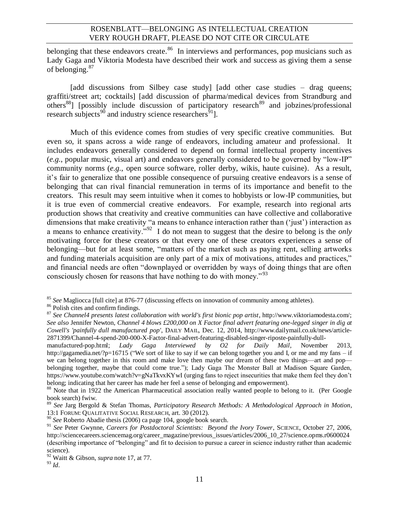belonging that these endeavors create.<sup>86</sup> In interviews and performances, pop musicians such as Lady Gaga and Viktoria Modesta have described their work and success as giving them a sense of belonging.<sup>87</sup>

[add discussions from Silbey case study] [add other case studies – drag queens; graffiti/street art; cocktails] [add discussion of pharma/medical devices from Strandburg and  $\text{others}^{88}$ ] [possibly include discussion of participatory research<sup>89</sup> and jobzines/professional research subjects<sup>90</sup> and industry science researchers<sup>91</sup>].

Much of this evidence comes from studies of very specific creative communities. But even so, it spans across a wide range of endeavors, including amateur and professional. It includes endeavors generally considered to depend on formal intellectual property incentives (*e.g.*, popular music, visual art) and endeavors generally considered to be governed by "low-IP" community norms (*e.g.*, open source software, roller derby, wikis, haute cuisine). As a result, it's fair to generalize that one possible consequence of pursuing creative endeavors is a sense of belonging that can rival financial remuneration in terms of its importance and benefit to the creators. This result may seem intuitive when it comes to hobbyists or low-IP communities, but it is true even of commercial creative endeavors. For example, research into regional arts production shows that creativity and creative communities can have collective and collaborative dimensions that make creativity "a means to enhance interaction rather than ('just') interaction as a means to enhance creativity."<sup>92</sup> I do not mean to suggest that the desire to belong is the *only* motivating force for these creators or that every one of these creators experiences a sense of belonging—but for at least some, "matters of the market such as paying rent, selling artworks and funding materials acquisition are only part of a mix of motivations, attitudes and practices," and financial needs are often "downplayed or overridden by ways of doing things that are often consciously chosen for reasons that have nothing to do with money."<sup>93</sup>

l <sup>85</sup> *See* Magliocca [full cite] at 876-77 (discussing effects on innovation of community among athletes).

<sup>86</sup> Polish cites and confirm findings.

<sup>&</sup>lt;sup>87</sup> See Channel4 presents latest collaboration with world's first bionic pop artist, http://www.viktoriamodesta.com/; *See also* Jennifer Newton, *Channel 4 blows £200,000 on X Factor final advert featuring one-legged singer in dig at Cowell's 'painfully dull manufactured pop'*, DAILY MAIL, Dec. 12, 2014, http://www.dailymail.co.uk/news/article-2871399/Channel-4-spend-200-000-X-Factor-final-advert-featuring-disabled-singer-riposte-painfully-dull-

manufactured-pop.html; *Lady Gaga Interviewed by O2 for Daily Mail*, November 2013, http://gagamedia.net/?p=16715 ("We sort of like to say if we can belong together you and I, or me and my fans – if we can belong together in this room and make love then maybe our dream of these two things—art and pop belonging together, maybe that could come true."); Lady Gaga The Monster Ball at Madison Square Garden, https://www.youtube.com/watch?v=gNaTkvxKYwI (urging fans to reject insecurities that make them feel they don't belong; indicating that her career has made her feel a sense of belonging and empowerment).

<sup>&</sup>lt;sup>88</sup> Note that in 1922 the American Pharmaceutical association really wanted people to belong to it. (Per Google book search) fwiw.

<sup>89</sup> *See* Jarg Bergold & Stefan Thomas, *Participatory Research Methods: A Methodological Approach in Motion*, 13:1 FORUM: QUALITATIVE SOCIAL RESEARCH, art. 30 (2012).

<sup>90</sup> *See* Roberto Abadie thesis (2006) ca page 104, google book search.

<sup>&</sup>lt;sup>91</sup> See Peter Gwynne, *Careers for Postdoctoral Scientists: Beyond the Ivory Tower*, SCIENCE, October 27, 2006, http://sciencecareers.sciencemag.org/career\_magazine/previous\_issues/articles/2006\_10\_27/science.opms.r0600024 (describing importance of "belonging" and fit to decision to pursue a career in science industry rather than academic science).

<sup>92</sup> Waitt & Gibson, *supra* note [17,](#page-2-1) at 77.

<sup>93</sup> *Id.*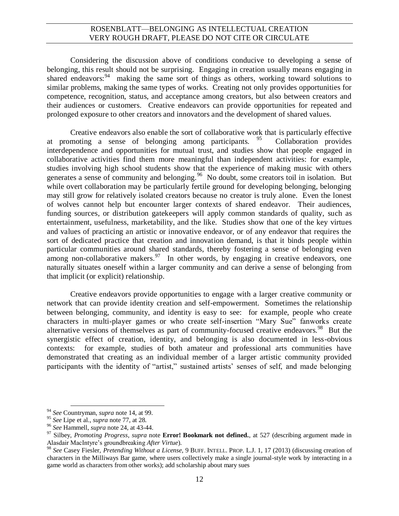Considering the discussion above of conditions conducive to developing a sense of belonging, this result should not be surprising. Engaging in creation usually means engaging in shared endeavors:<sup>94</sup> making the same sort of things as others, working toward solutions to similar problems, making the same types of works. Creating not only provides opportunities for competence, recognition, status, and acceptance among creators, but also between creators and their audiences or customers. Creative endeavors can provide opportunities for repeated and prolonged exposure to other creators and innovators and the development of shared values.

Creative endeavors also enable the sort of collaborative work that is particularly effective at promoting a sense of belonging among participants.  $95$  Collaboration provides interdependence and opportunities for mutual trust, and studies show that people engaged in collaborative activities find them more meaningful than independent activities: for example, studies involving high school students show that the experience of making music with others generates a sense of community and belonging.<sup>96</sup> No doubt, some creators toil in isolation. But while overt collaboration may be particularly fertile ground for developing belonging, belonging may still grow for relatively isolated creators because no creator is truly alone. Even the lonest of wolves cannot help but encounter larger contexts of shared endeavor. Their audiences, funding sources, or distribution gatekeepers will apply common standards of quality, such as entertainment, usefulness, marketability, and the like. Studies show that one of the key virtues and values of practicing an artistic or innovative endeavor, or of any endeavor that requires the sort of dedicated practice that creation and innovation demand, is that it binds people within particular communities around shared standards, thereby fostering a sense of belonging even among non-collaborative makers.  $97$  In other words, by engaging in creative endeavors, one naturally situates oneself within a larger community and can derive a sense of belonging from that implicit (or explicit) relationship.

Creative endeavors provide opportunities to engage with a larger creative community or network that can provide identity creation and self-empowerment. Sometimes the relationship between belonging, community, and identity is easy to see: for example, people who create characters in multi-player games or who create self-insertion "Mary Sue" fanworks create alternative versions of themselves as part of community-focused creative endeavors.<sup>98</sup> But the synergistic effect of creation, identity, and belonging is also documented in less-obvious contexts: for example, studies of both amateur and professional arts communities have demonstrated that creating as an individual member of a larger artistic community provided participants with the identity of "artist," sustained artists' senses of self, and made belonging

 $\overline{\phantom{a}}$ 

<sup>94</sup> *See* Countryman, *supra* not[e 14,](#page-2-0) at 99.

<sup>95</sup> *See* Lipe et al., *supra* not[e 77,](#page-9-0) at 28.

<sup>96</sup> *See* Hammell, *supra* not[e 24,](#page-4-2) at 43-44.

<sup>97</sup> Silbey, *Promoting Progress*, *supra* note **Error! Bookmark not defined.**, at 527 (describing argument made in Alasdair MacIntyre's groundbreaking *After Virtue*).

<sup>98</sup> *See* Casey Fiesler, *Pretending Without a License*, 9 BUFF. INTELL. PROP. L.J. 1, 17 (2013) (discussing creation of characters in the Milliways Bar game, where users collectively make a single journal-style work by interacting in a game world as characters from other works); add scholarship about mary sues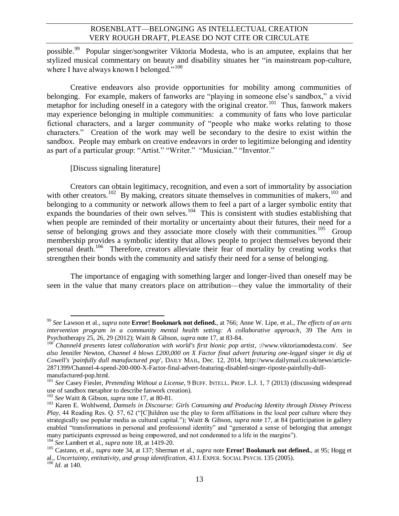possible.<sup>99</sup> Popular singer/songwriter Viktoria Modesta, who is an amputee, explains that her stylized musical commentary on beauty and disability situates her "in mainstream pop-culture, where I have always known I belonged."<sup>100</sup>

Creative endeavors also provide opportunities for mobility among communities of belonging. For example, makers of fanworks are "playing in someone else's sandbox," a vivid metaphor for including oneself in a category with the original creator.<sup>101</sup> Thus, fanwork makers may experience belonging in multiple communities: a community of fans who love particular fictional characters, and a larger community of "people who make works relating to those characters." Creation of the work may well be secondary to the desire to exist within the sandbox. People may embark on creative endeavors in order to legitimize belonging and identity as part of a particular group: "Artist." "Writer." "Musician." "Inventor."

<span id="page-12-0"></span>[Discuss signaling literature]

Creators can obtain legitimacy, recognition, and even a sort of immortality by association with other creators.<sup>102</sup> By making, creators situate themselves in communities of makers,<sup>103</sup> and belonging to a community or network allows them to feel a part of a larger symbolic entity that expands the boundaries of their own selves.<sup>104</sup> This is consistent with studies establishing that when people are reminded of their mortality or uncertainty about their futures, their need for a sense of belonging grows and they associate more closely with their communities.<sup>105</sup> Group membership provides a symbolic identity that allows people to project themselves beyond their personal death.<sup>106</sup> Therefore, creators alleviate their fear of mortality by creating works that strengthen their bonds with the community and satisfy their need for a sense of belonging.

The importance of engaging with something larger and longer-lived than oneself may be seen in the value that many creators place on attribution—they value the immortality of their

 $\overline{\phantom{a}}$ 

<sup>99</sup> *See* Lawson et al., *supra* note **Error! Bookmark not defined.**, at 766; Anne W. Lipe, et al., *The effects of an arts intervention program in a community mental health setting: A collaborative approach*, 39 The Arts in Psychotherapy 25, 26, 29 (2012); Waitt & Gibson, *supra* not[e 17,](#page-2-1) at 83-84.

<sup>&</sup>lt;sup>100</sup> *Channel4 presents latest collaboration with world's first bionic pop artist*, ://www.viktoriamodesta.com/. *See also* Jennifer Newton, *Channel 4 blows £200,000 on X Factor final advert featuring one-legged singer in dig at Cowell's 'painfully dull manufactured pop'*, DAILY MAIL, Dec. 12, 2014, http://www.dailymail.co.uk/news/article-2871399/Channel-4-spend-200-000-X-Factor-final-advert-featuring-disabled-singer-riposte-painfully-dullmanufactured-pop.html.

<sup>101</sup> *See* Casey Fiesler, *Pretending Without a License*, 9 BUFF. INTELL. PROP. L.J. 1, 7 (2013) (discussing widespread use of sandbox metaphor to describe fanwork creation).

<sup>102</sup> *See* Waitt & Gibson, *supra* not[e 17,](#page-2-1) at 80-81.

<sup>103</sup> Karen E. Wohlwend, *Damsels in Discourse: Girls Consuming and Producing Identity through Disney Princess Play*, 44 Reading Res. Q. 57, 62 ("[C]hildren use the play to form affiliations in the local peer culture where they strategically use popular media as cultural capital."); Waitt & Gibson, *supra* note [17,](#page-2-1) at 84 (participation in gallery enabled "transformations in personal and professional identity" and "generated a sense of belonging that amongst many participants expressed as being empowered, and not condemned to a life in the margins").

<sup>104</sup> *See* Lambert et al., *supra* not[e 18,](#page-3-2) at 1419-20.

<sup>105</sup> Castano, et al., *supra* note [34,](#page-4-0) at 137; Sherman et al., *supra* note **Error! Bookmark not defined.**, at 95; Hogg et al., *Uncertainty, entitativity, and group identification*, 43 J. EXPER. SOCIAL PSYCH. 135 (2005).

<sup>106</sup> *Id.* at 140.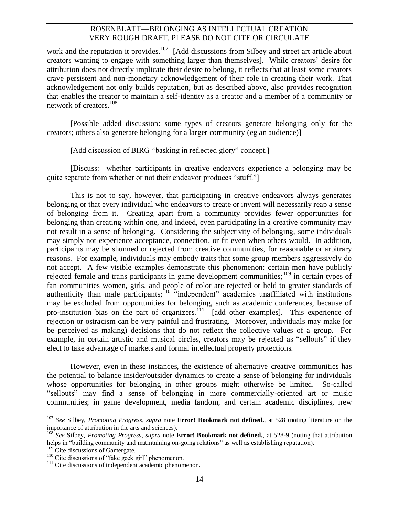work and the reputation it provides.<sup>107</sup> [Add discussions from Silbey and street art article about creators wanting to engage with something larger than themselves]. While creators' desire for attribution does not directly implicate their desire to belong, it reflects that at least some creators crave persistent and non-monetary acknowledgement of their role in creating their work. That acknowledgement not only builds reputation, but as described above, also provides recognition that enables the creator to maintain a self-identity as a creator and a member of a community or network of creators.<sup>108</sup>

[Possible added discussion: some types of creators generate belonging only for the creators; others also generate belonging for a larger community (eg an audience)]

[Add discussion of BIRG "basking in reflected glory" concept.]

[Discuss: whether participants in creative endeavors experience a belonging may be quite separate from whether or not their endeavor produces "stuff."

This is not to say, however, that participating in creative endeavors always generates belonging or that every individual who endeavors to create or invent will necessarily reap a sense of belonging from it. Creating apart from a community provides fewer opportunities for belonging than creating within one, and indeed, even participating in a creative community may not result in a sense of belonging. Considering the subjectivity of belonging, some individuals may simply not experience acceptance, connection, or fit even when others would. In addition, participants may be shunned or rejected from creative communities, for reasonable or arbitrary reasons. For example, individuals may embody traits that some group members aggressively do not accept. A few visible examples demonstrate this phenomenon: certain men have publicly rejected female and trans participants in game development communities;<sup>109</sup> in certain types of fan communities women, girls, and people of color are rejected or held to greater standards of authenticity than male participants;  $10^{-10}$  "independent" academics unaffiliated with institutions may be excluded from opportunities for belonging, such as academic conferences, because of pro-institution bias on the part of organizers.<sup>111</sup> [add other examples]. This experience of rejection or ostracism can be very painful and frustrating. Moreover, individuals may make (or be perceived as making) decisions that do not reflect the collective values of a group. For example, in certain artistic and musical circles, creators may be rejected as "sellouts" if they elect to take advantage of markets and formal intellectual property protections.

However, even in these instances, the existence of alternative creative communities has the potential to balance insider/outsider dynamics to create a sense of belonging for individuals whose opportunities for belonging in other groups might otherwise be limited. So-called "sellouts" may find a sense of belonging in more commercially-oriented art or music communities; in game development, media fandom, and certain academic disciplines, new

<sup>107</sup> *See* Silbey, *Promoting Progress*, *supra* note **Error! Bookmark not defined.**, at 528 (noting literature on the importance of attribution in the arts and sciences).

<sup>108</sup> *See* Silbey, *Promoting Progress*, *supra* note **Error! Bookmark not defined.**, at 528-9 (noting that attribution helps in "building community and matintaining on-going relations" as well as establishing reputation).

<sup>&</sup>lt;sup>109</sup> Cite discussions of Gamergate.

<sup>&</sup>lt;sup>110</sup> Cite discussions of "fake geek girl" phenomenon.

<sup>&</sup>lt;sup>111</sup> Cite discussions of independent academic phenomenon.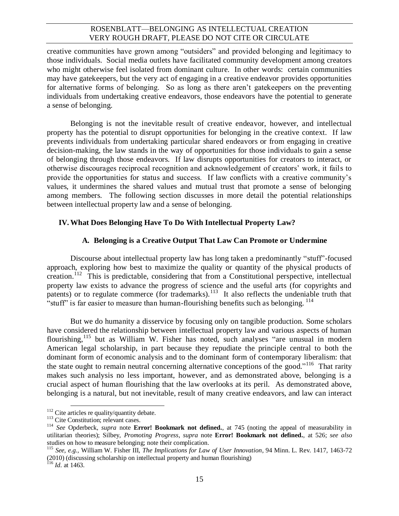creative communities have grown among "outsiders" and provided belonging and legitimacy to those individuals. Social media outlets have facilitated community development among creators who might otherwise feel isolated from dominant culture. In other words: certain communities may have gatekeepers, but the very act of engaging in a creative endeavor provides opportunities for alternative forms of belonging. So as long as there aren't gatekeepers on the preventing individuals from undertaking creative endeavors, those endeavors have the potential to generate a sense of belonging.

Belonging is not the inevitable result of creative endeavor, however, and intellectual property has the potential to disrupt opportunities for belonging in the creative context. If law prevents individuals from undertaking particular shared endeavors or from engaging in creative decision-making, the law stands in the way of opportunities for those individuals to gain a sense of belonging through those endeavors. If law disrupts opportunities for creators to interact, or otherwise discourages reciprocal recognition and acknowledgement of creators' work, it fails to provide the opportunities for status and success. If law conflicts with a creative community's values, it undermines the shared values and mutual trust that promote a sense of belonging among members. The following section discusses in more detail the potential relationships between intellectual property law and a sense of belonging.

#### **IV. What Does Belonging Have To Do With Intellectual Property Law?**

#### **A. Belonging is a Creative Output That Law Can Promote or Undermine**

Discourse about intellectual property law has long taken a predominantly "stuff"-focused approach, exploring how best to maximize the quality or quantity of the physical products of creation.<sup>112</sup> This is predictable, considering that from a Constitutional perspective, intellectual property law exists to advance the progress of science and the useful arts (for copyrights and patents) or to regulate commerce (for trademarks).<sup>113</sup> It also reflects the undeniable truth that "stuff" is far easier to measure than human-flourishing benefits such as belonging.  $^{114}$ 

But we do humanity a disservice by focusing only on tangible production. Some scholars have considered the relationship between intellectual property law and various aspects of human flourishing,<sup>115</sup> but as William W. Fisher has noted, such analyses "are unusual in modern American legal scholarship, in part because they repudiate the principle central to both the dominant form of economic analysis and to the dominant form of contemporary liberalism: that the state ought to remain neutral concerning alternative conceptions of the good."<sup>116</sup> That rarity makes such analysis no less important, however, and as demonstrated above, belonging is a crucial aspect of human flourishing that the law overlooks at its peril. As demonstrated above, belonging is a natural, but not inevitable, result of many creative endeavors, and law can interact

 $\overline{\phantom{a}}$ 

 $112$  Cite articles re quality/quantity debate.

<sup>&</sup>lt;sup>113</sup> Cite Constitution; relevant cases.

<sup>114</sup> *See* Opderbeck, *supra* note **Error! Bookmark not defined.**, at 745 (noting the appeal of measurability in utilitarian theories); Silbey, *Promoting Progress*, *supra* note **Error! Bookmark not defined.**, at 526; *see also*  studies on how to measure belonging; note their complication.

<sup>115</sup> *See, e.g.,* William W. Fisher III, *The Implications for Law of User Innovation*, 94 Minn. L. Rev. 1417, 1463-72 (2010) (discussing scholarship on intellectual property and human flourishing)

 $^{116}$  *Id.* at 1463.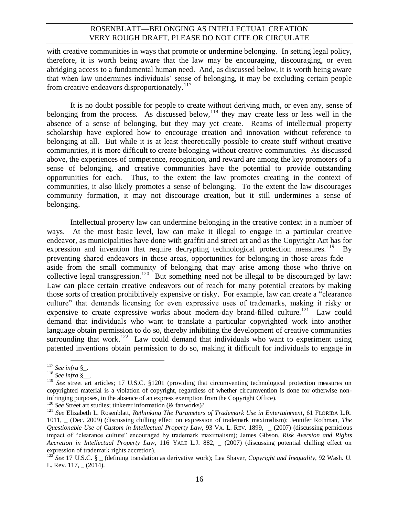with creative communities in ways that promote or undermine belonging. In setting legal policy, therefore, it is worth being aware that the law may be encouraging, discouraging, or even abridging access to a fundamental human need. And, as discussed below, it is worth being aware that when law undermines individuals' sense of belonging, it may be excluding certain people from creative endeavors disproportionately.<sup>117</sup>

It is no doubt possible for people to create without deriving much, or even any, sense of belonging from the process. As discussed below,  $\frac{118}{118}$  they may create less or less well in the absence of a sense of belonging, but they may yet create. Reams of intellectual property scholarship have explored how to encourage creation and innovation without reference to belonging at all. But while it is at least theoretically possible to create stuff without creative communities, it is more difficult to create belonging without creative communities. As discussed above, the experiences of competence, recognition, and reward are among the key promoters of a sense of belonging, and creative communities have the potential to provide outstanding opportunities for each. Thus, to the extent the law promotes creating in the context of communities, it also likely promotes a sense of belonging. To the extent the law discourages community formation, it may not discourage creation, but it still undermines a sense of belonging.

Intellectual property law can undermine belonging in the creative context in a number of ways. At the most basic level, law can make it illegal to engage in a particular creative endeavor, as municipalities have done with graffiti and street art and as the Copyright Act has for expression and invention that require decrypting technological protection measures.<sup>119</sup> By preventing shared endeavors in those areas, opportunities for belonging in those areas fade aside from the small community of belonging that may arise among those who thrive on collective legal transgression.<sup>120</sup> But something need not be illegal to be discouraged by law: Law can place certain creative endeavors out of reach for many potential creators by making those sorts of creation prohibitively expensive or risky. For example, law can create a "clearance culture" that demands licensing for even expressive uses of trademarks, making it risky or expensive to create expressive works about modern-day brand-filled culture.<sup>121</sup> Law could demand that individuals who want to translate a particular copyrighted work into another language obtain permission to do so, thereby inhibiting the development of creative communities surrounding that work.<sup>122</sup> Law could demand that individuals who want to experiment using patented inventions obtain permission to do so, making it difficult for individuals to engage in

<sup>120</sup> *See* Street art studies; tinkerer information (& fanworks)?

 $\overline{a}$ <sup>117</sup> *See infra* §\_.

<sup>118</sup> *See infra* §\_\_.

<sup>&</sup>lt;sup>119</sup> See street art articles; 17 U.S.C. §1201 (providing that circumventing technological protection measures on copyrighted material is a violation of copyright, regardless of whether circumvention is done for otherwise noninfringing purposes, in the absence of an express exemption from the Copyright Office).

<sup>&</sup>lt;sup>121</sup> *See* Elizabeth L. Rosenblatt, *Rethinking The Parameters of Trademark Use in Entertainment*, 61 FLORIDA L.R. 1011, \_ (Dec. 2009) (discussing chilling effect on expression of trademark maximalism); Jennifer Rothman, *The Questionable Use of Custom in Intellectual Property Law*, 93 VA. L. REV. 1899, \_ (2007) (discussing pernicious impact of "clearance culture" encouraged by trademark maximalism); James Gibson, *Risk Aversion and Rights Accretion in Intellectual Property Law*, 116 YALE L.J. 882, \_ (2007) (discussing potential chilling effect on expression of trademark rights accretion).

<sup>&</sup>lt;sup>122</sup> *See* 17 U.S.C. § (defining translation as derivative work); Lea Shaver, *Copyright and Inequality*, 92 Wash. U. L. Rev.  $117, (2014)$ .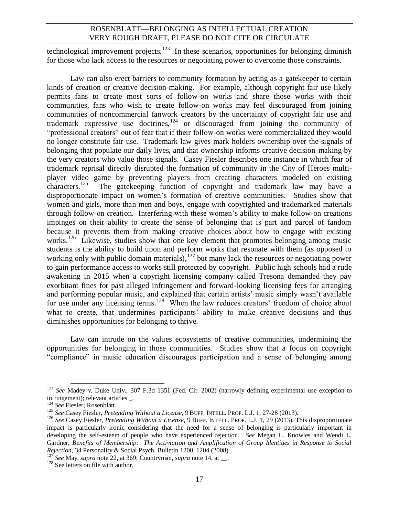technological improvement projects.<sup>123</sup> In these scenarios, opportunities for belonging diminish for those who lack access to the resources or negotiating power to overcome those constraints.

Law can also erect barriers to community formation by acting as a gatekeeper to certain kinds of creation or creative decision-making. For example, although copyright fair use likely permits fans to create most sorts of follow-on works and share those works with their communities, fans who wish to create follow-on works may feel discouraged from joining communities of noncommercial fanwork creators by the uncertainty of copyright fair use and trademark expressive use doctrines,  $124$  or discouraged from joining the community of "professional creators" out of fear that if their follow-on works were commercialized they would no longer constitute fair use. Trademark law gives mark holders ownership over the signals of belonging that populate our daily lives, and that ownership informs creative decision-making by the very creators who value those signals. Casey Fiesler describes one instance in which fear of trademark reprisal directly disrupted the formation of community in the City of Heroes multiplayer video game by preventing players from creating characters modeled on existing characters.<sup>125</sup> The gatekeeping function of copyright and trademark law may have a disproportionate impact on women's formation of creative communities. Studies show that women and girls, more than men and boys, engage with copyrighted and trademarked materials through follow-on creation. Interfering with these women's ability to make follow-on creations impinges on their ability to create the sense of belonging that is part and parcel of fandom because it prevents them from making creative choices about how to engage with existing works.<sup>126</sup> Likewise, studies show that one key element that promotes belonging among music students is the ability to build upon and perform works that resonate with them (as opposed to working only with public domain materials),  $127$  but many lack the resources or negotiating power to gain performance access to works still protected by copyright. Public high schools had a rude awakening in 2015 when a copyright licensing company called Tresona demanded they pay exorbitant fines for past alleged infringement and forward-looking licensing fees for arranging and performing popular music, and explained that certain artists' music simply wasn't available for use under any licensing terms.<sup>128</sup> When the law reduces creators' freedom of choice about what to create, that undermines participants' ability to make creative decisions and thus diminishes opportunities for belonging to thrive.

Law can intrude on the values ecosystems of creative communities, undermining the opportunities for belonging in those communities. Studies show that a focus on copyright "compliance" in music education discourages participation and a sense of belonging among

<sup>123</sup> *See* Madey v. Duke Univ., 307 F.3d 1351 (Fed. Cir. 2002) (narrowly defining experimental use exception to infringement); relevant articles \_.

<sup>124</sup> *See* Fiesler; Rosenblatt.

<sup>125</sup> *See* Casey Fiesler, *Pretending Without a License*, 9 BUFF. INTELL. PROP. L.J. 1, 27-28 (2013).

<sup>126</sup> *See* Casey Fiesler, *Pretending Without a License*, 9 BUFF. INTELL. PROP. L.J. 1, 29 (2013). This disproportionate impact is particularly ironic considering that the need for a sense of belonging is particularly important in developing the self-esteem of people who have experienced rejection. *See* Megan L. Knowles and Wendi L. Gardner, *Benefits of Membership: The Activiation and Amplification of Group Identities in Response to Social Rejection*, 34 Personality & Social Psych. Bulletin 1200, 1204 (2008).

<sup>127</sup> *See* May, *supra* note [22,](#page-3-3) at 369; Countryman, *supra* note [14,](#page-2-0) at \_\_.

 $128$  See letters on file with author.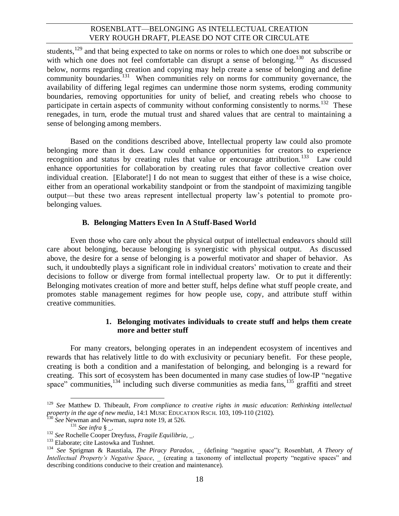students,<sup>129</sup> and that being expected to take on norms or roles to which one does not subscribe or with which one does not feel comfortable can disrupt a sense of belonging.<sup>130</sup> As discussed below, norms regarding creation and copying may help create a sense of belonging and define community boundaries.<sup>131</sup> When communities rely on norms for community governance, the availability of differing legal regimes can undermine those norm systems, eroding community boundaries, removing opportunities for unity of belief, and creating rebels who choose to participate in certain aspects of community without conforming consistently to norms.<sup>132</sup> These renegades, in turn, erode the mutual trust and shared values that are central to maintaining a sense of belonging among members.

Based on the conditions described above, Intellectual property law could also promote belonging more than it does. Law could enhance opportunities for creators to experience recognition and status by creating rules that value or encourage attribution.<sup>133</sup> Law could enhance opportunities for collaboration by creating rules that favor collective creation over individual creation. [Elaborate!] I do not mean to suggest that either of these is a wise choice, either from an operational workability standpoint or from the standpoint of maximizing tangible output—but these two areas represent intellectual property law's potential to promote probelonging values.

#### **B. Belonging Matters Even In A Stuff-Based World**

Even those who care only about the physical output of intellectual endeavors should still care about belonging, because belonging is synergistic with physical output. As discussed above, the desire for a sense of belonging is a powerful motivator and shaper of behavior. As such, it undoubtedly plays a significant role in individual creators' motivation to create and their decisions to follow or diverge from formal intellectual property law. Or to put it differently: Belonging motivates creation of more and better stuff, helps define what stuff people create, and promotes stable management regimes for how people use, copy, and attribute stuff within creative communities.

#### <span id="page-17-0"></span>**1. Belonging motivates individuals to create stuff and helps them create more and better stuff**

For many creators, belonging operates in an independent ecosystem of incentives and rewards that has relatively little to do with exclusivity or pecuniary benefit. For these people, creating is both a condition and a manifestation of belonging, and belonging is a reward for creating. This sort of ecosystem has been documented in many case studies of low-IP "negative space" communities,  $134$  including such diverse communities as media fans,  $135$  graffiti and street

<sup>129</sup> *See* Matthew D. Thibeault, *From compliance to creative rights in music education: Rethinking intellectual property in the age of new media*, 14:1 MUSIC EDUCATION RSCH. 103, 109-110 (2102).

<sup>130</sup> *See* Newman and Newman, *supra* not[e 19,](#page-3-1) at 526.

<sup>131</sup> *See infra* § \_.

<sup>&</sup>lt;sup>132</sup> See Rochelle Cooper Dreyfuss, *Fragile Equilibria*, .

<sup>&</sup>lt;sup>133</sup> Elaborate; cite Lastowka and Tushnet.

<sup>134</sup> *See* Sprigman & Raustiala, *The Piracy Paradox*, \_ (defining "negative space"); Rosenblatt, *A Theory of Intellectual Property's Negative Space*, \_ (creating a taxonomy of intellectual property "negative spaces" and describing conditions conducive to their creation and maintenance).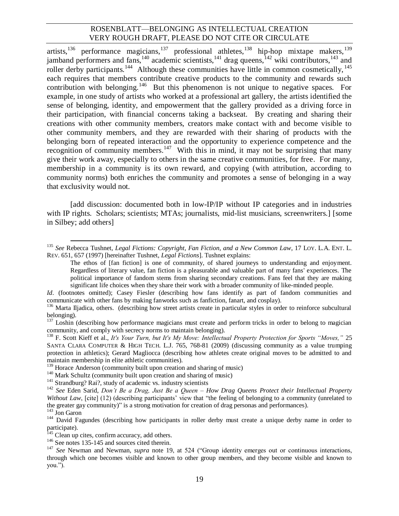<span id="page-18-0"></span>artists,<sup>136</sup> performance magicians,<sup>137</sup> professional athletes,<sup>138</sup> hip-hop mixtape makers,<sup>139</sup> jamband performers and fans,  $140$  academic scientists,  $141$  drag queens,  $142$  wiki contributors,  $143$  and roller derby participants.<sup>144</sup> Although these communities have little in common cosmetically,<sup>145</sup> each requires that members contribute creative products to the community and rewards such contribution with belonging.<sup>146</sup> But this phenomenon is not unique to negative spaces. For example, in one study of artists who worked at a professional art gallery, the artists identified the sense of belonging, identity, and empowerment that the gallery provided as a driving force in their participation, with financial concerns taking a backseat. By creating and sharing their creations with other community members, creators make contact with and become visible to other community members, and they are rewarded with their sharing of products with the belonging born of repeated interaction and the opportunity to experience competence and the recognition of community members.<sup>147</sup> With this in mind, it may not be surprising that many give their work away, especially to others in the same creative communities, for free. For many, membership in a community is its own reward, and copying (with attribution, according to community norms) both enriches the community and promotes a sense of belonging in a way that exclusivity would not.

[add discussion: documented both in low-IP/IP without IP categories and in industries with IP rights. Scholars; scientists; MTAs; journalists, mid-list musicians, screenwriters.] [some in Silbey; add others]

<sup>135</sup> *See* Rebecca Tushnet, *Legal Fictions: Copyright, Fan Fiction, and a New Common Law*, 17 LOY. L.A. ENT. L. REV. 651, 657 (1997) [hereinafter Tushnet, *Legal Fictions*]. Tushnet explains:

The ethos of [fan fiction] is one of community, of shared journeys to understanding and enjoyment. Regardless of literary value, fan fiction is a pleasurable and valuable part of many fans' experiences. The political importance of fandom stems from sharing secondary creations. Fans feel that they are making significant life choices when they share their work with a broader community of like-minded people.

*Id.* (footnotes omitted); Casey Fiesler (describing how fans identify as part of fandom communities and communicate with other fans by making fanworks such as fanfiction, fanart, and cosplay).

<sup>&</sup>lt;sup>136</sup> Marta Iljadica, others. (describing how street artists create in particular styles in order to reinforce subcultural belonging).

<sup>&</sup>lt;sup>137</sup> Loshin (describing how performance magicians must create and perform tricks in order to belong to magician community, and comply with secrecy norms to maintain belonging).

<sup>138</sup> F. Scott Kieff et al., *It's Your Turn, but It's My Move: Intellectual Property Protection for Sports "Moves,"* 25 SANTA CLARA COMPUTER & HIGH TECH. L.J. 765, 768-81 (2009) (discussing community as a value trumping protection in athletics); Gerard Magliocca (describing how athletes create original moves to be admitted to and maintain membership in elite athletic communities).

 $139$  Horace Anderson (community built upon creation and sharing of music)

<sup>&</sup>lt;sup>140</sup> Mark Schultz (community built upon creation and sharing of music)

<sup>&</sup>lt;sup>141</sup> Strandburg? Rai?, study of academic vs. industry scientists

<sup>142</sup> *See* Eden Sarid, *Don't Be a Drag, Just Be a Queen – How Drag Queens Protect their Intellectual Property Without Law*, [cite] (12) (describing participants' view that "the feeling of belonging to a community (unrelated to the greater gay community)" is a strong motivation for creation of drag personas and performances). <sup>143</sup> Jon Garon

<sup>&</sup>lt;sup>144</sup> David Fagundes (describing how participants in roller derby must create a unique derby name in order to participate).

<sup>&</sup>lt;sup>145</sup> Clean up cites, confirm accuracy, add others.

<sup>&</sup>lt;sup>146</sup> See notes [135](#page-17-0)[-145](#page-18-0) and sources cited therein.

<sup>147</sup> *See* Newman and Newman, *supra* note [19,](#page-3-1) at 524 ("Group identity emerges out or continuous interactions, through which one becomes visible and known to other group members, and they become visible and known to you.").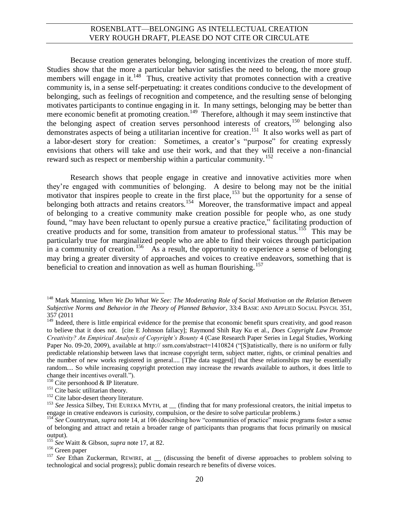Because creation generates belonging, belonging incentivizes the creation of more stuff. Studies show that the more a particular behavior satisfies the need to belong, the more group members will engage in it.<sup>148</sup> Thus, creative activity that promotes connection with a creative community is, in a sense self-perpetuating: it creates conditions conducive to the development of belonging, such as feelings of recognition and competence, and the resulting sense of belonging motivates participants to continue engaging in it. In many settings, belonging may be better than mere economic benefit at promoting creation.<sup>149</sup> Therefore, although it may seem instinctive that the belonging aspect of creation serves personhood interests of creators,  $150$  belonging also demonstrates aspects of being a utilitarian incentive for creation.<sup>151</sup> It also works well as part of a labor-desert story for creation: Sometimes, a creator's "purpose" for creating expressly envisions that others will take and use their work, and that they will receive a non-financial reward such as respect or membership within a particular community.<sup>152</sup>

Research shows that people engage in creative and innovative activities more when they're engaged with communities of belonging. A desire to belong may not be the initial motivator that inspires people to create in the first place,<sup>153</sup> but the opportunity for a sense of belonging both attracts and retains creators.<sup>154</sup> Moreover, the transformative impact and appeal of belonging to a creative community make creation possible for people who, as one study found, "may have been reluctant to openly pursue a creative practice," facilitating production of creative products and for some, transition from amateur to professional status.<sup>155</sup> This may be particularly true for marginalized people who are able to find their voices through participation in a community of creation.<sup>156</sup> As a result, the opportunity to experience a sense of belonging may bring a greater diversity of approaches and voices to creative endeavors, something that is beneficial to creation and innovation as well as human flourishing.<sup>157</sup>

l <sup>148</sup> Mark Manning, *When We Do What We See: The Moderating Role of Social Motivation on the Relation Between Subjective Norms and Behavior in the Theory of Planned Behavior*, 33:4 BASIC AND APPLIED SOCIAL PSYCH. 351, 357 (2011

<sup>&</sup>lt;sup>149</sup> Indeed, there is little empirical evidence for the premise that economic benefit spurs creativity, and good reason to believe that it does not. [cite E Johnson fallacy]; Raymond Shih Ray Ku et al., *Does Copyright Law Promote Creativity? An Empirical Analysis of Copyright's Bounty* 4 (Case Research Paper Series in Legal Studies, Working Paper No. 09-20, 2009), available at http:// ssrn.com/abstract=1410824 ("[S]tatistically, there is no uniform or fully predictable relationship between laws that increase copyright term, subject matter, rights, or criminal penalties and the number of new works registered in general.... [T]he data suggest[] that these relationships may be essentially random.... So while increasing copyright protection may increase the rewards available to authors, it does little to change their incentives overall.").

 $150$  Cite personhood & IP literature.

<sup>&</sup>lt;sup>151</sup> Cite basic utilitarian theory.

<sup>&</sup>lt;sup>152</sup> Cite labor-desert theory literature.

<sup>&</sup>lt;sup>153</sup> See Jessica Silbey, THE EUREKA MYTH, at \_\_ (finding that for many professional creators, the initial impetus to engage in creative endeavors is curiosity, compulsion, or the desire to solve particular problems.)

<sup>154</sup> *See* Countryman, *supra* note [14,](#page-2-0) at 106 (describing how "communities of practice" music programs foster a sense of belonging and attract and retain a broader range of participants than programs that focus primarily on musical output).

<sup>155</sup> *See* Waitt & Gibson, *supra* not[e 17,](#page-2-1) at 82.

<sup>&</sup>lt;sup>156</sup> Green paper

<sup>&</sup>lt;sup>157</sup> See Ethan Zuckerman, REWIRE, at \_\_ (discussing the benefit of diverse approaches to problem solving to technological and social progress); public domain research re benefits of diverse voices.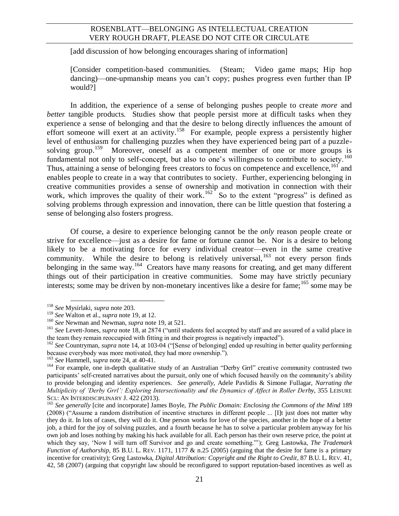[add discussion of how belonging encourages sharing of information]

[Consider competition-based communities. (Steam; Video game maps; Hip hop dancing)—one-upmanship means you can't copy; pushes progress even further than IP would?]

In addition, the experience of a sense of belonging pushes people to create *more* and *better* tangible products. Studies show that people persist more at difficult tasks when they experience a sense of belonging and that the desire to belong directly influences the amount of effort someone will exert at an activity.<sup>158</sup> For example, people express a persistently higher level of enthusiasm for challenging puzzles when they have experienced being part of a puzzlesolving group.<sup>159</sup> Moreover, oneself as a competent member of one or more groups is fundamental not only to self-concept, but also to one's willingness to contribute to society.<sup>160</sup> Thus, attaining a sense of belonging frees creators to focus on competence and excellence,<sup>161</sup> and enables people to create in a way that contributes to society. Further, experiencing belonging in creative communities provides a sense of ownership and motivation in connection with their work, which improves the quality of their work.<sup>162</sup> So to the extent "progress" is defined as solving problems through expression and innovation, there can be little question that fostering a sense of belonging also fosters progress.

Of course, a desire to experience belonging cannot be the *only* reason people create or strive for excellence—just as a desire for fame or fortune cannot be. Nor is a desire to belong likely to be a motivating force for every individual creator—even in the same creative community. While the desire to belong is relatively universal,  $163$  not every person finds belonging in the same way.<sup>164</sup> Creators have many reasons for creating, and get many different things out of their participation in creative communities. Some may have strictly pecuniary interests; some may be driven by non-monetary incentives like a desire for fame;<sup>165</sup> some may be

 $\overline{a}$ <sup>158</sup> *See* Mysirlaki, *supra* not[e 203.](#page-26-0)

<sup>159</sup> *See* Walton et al., *supra* not[e 19,](#page-3-1) at 12.

<sup>160</sup> *See* Newman and Newman, *supra* not[e 19,](#page-3-1) at 521.

<sup>&</sup>lt;sup>161</sup> See Levett-Jones, *supra* not[e 18,](#page-3-2) at 2874 ("until students feel accepted by staff and are assured of a valid place in the team they remain reoccupied with fitting in and their progress is negatively impacted").

<sup>&</sup>lt;sup>162</sup> See Countryman, *supra* note [14,](#page-2-0) at 103-04 ("[Sense of belonging] ended up resulting in better quality performing because everybody was more motivated, they had more ownership.").

<sup>163</sup> *See* Hammell, *supra* note [24,](#page-4-2) at 40-41.

<sup>&</sup>lt;sup>164</sup> For example, one in-depth qualitative study of an Australian "Derby Grrl" creative community contrasted two participants' self-created narratives about the pursuit, only one of which focused heavily on the community's ability to provide belonging and identity experiences. *See generally*, Adele Pavlidis & Simone Fullagar, *Narrating the Multiplicity of 'Derby Grrl': Exploring Intersectionality and the Dynamics of Affect in Roller Derby*, 355 LEISURE SCI.: AN INTERDISCIPLINARY J. 422 (2013).

<sup>165</sup> *See generally* [cite and incorporate] James Boyle, *The Public Domain: Enclosing the Commons of the Mind* 189 (2008) ("Assume a random distribution of incentive structures in different people ... [I]t just does not matter why they do it. In lots of cases, they will do it. One person works for love of the species, another in the hope of a better job, a third for the joy of solving puzzles, and a fourth because he has to solve a particular problem anyway for his own job and loses nothing by making his hack available for all. Each person has their own reserve price, the point at which they say, 'Now I will turn off Survivor and go and create something."'); Greg Lastowka, *The Trademark Function of Authorship*, 85 B.U. L. REV. 1171, 1177 & n.25 (2005) (arguing that the desire for fame is a primary incentive for creativity); Greg Lastowka, *Digital Attribution: Copyright and the Right to Credit*, 87 B.U. L. REV. 41, 42, 58 (2007) (arguing that copyright law should be reconfigured to support reputation-based incentives as well as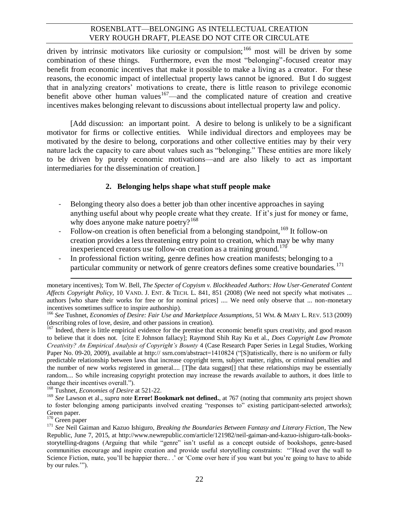driven by intrinsic motivators like curiosity or compulsion;<sup>166</sup> most will be driven by some combination of these things. Furthermore, even the most "belonging"-focused creator may benefit from economic incentives that make it possible to make a living as a creator. For these reasons, the economic impact of intellectual property laws cannot be ignored. But I do suggest that in analyzing creators' motivations to create, there is little reason to privilege economic benefit above other human values $167$ —and the complicated nature of creation and creative incentives makes belonging relevant to discussions about intellectual property law and policy.

[Add discussion: an important point. A desire to belong is unlikely to be a significant motivator for firms or collective entities. While individual directors and employees may be motivated by the desire to belong, corporations and other collective entities may by their very nature lack the capacity to care about values such as "belonging." These entities are more likely to be driven by purely economic motivations—and are also likely to act as important intermediaries for the dissemination of creation.]

#### **2. Belonging helps shape what stuff people make**

- Belonging theory also does a better job than other incentive approaches in saying anything useful about why people create what they create. If it's just for money or fame, why does anyone make nature poetry?<sup>168</sup>
- Follow-on creation is often beneficial from a belonging standpoint,<sup>169</sup> It follow-on creation provides a less threatening entry point to creation, which may be why many inexperienced creators use follow-on creation as a training ground.<sup>170</sup>
- In professional fiction writing, genre defines how creation manifests; belonging to a particular community or network of genre creators defines some creative boundaries.<sup>171</sup>

<sup>168</sup> Tushnet, *Economies of Desire* at 521-22.

<sup>169</sup> *See* Lawson et al., *supra* note **Error! Bookmark not defined.**, at 767 (noting that community arts project shown to foster belonging among participants involved creating "responses to" existing participant-selected artworks); Green paper.

<sup>170</sup> Green paper

monetary incentives); Tom W. Bell, *The Specter of Copyism v. Blockheaded Authors: How User-Generated Content Affects Copyright Policy*, 10 VAND. J. ENT. & TECH. L. 841, 851 (2008) (We need not specify what motivates ... authors [who share their works for free or for nominal prices] .... We need only observe that ... non-monetary incentives sometimes suffice to inspire authorship).

<sup>166</sup> *See* Tushnet, *Economies of Desire: Fair Use and Marketplace Assumptions*, 51 WM. & MARY L. REV. 513 (2009) (describing roles of love, desire, and other passions in creation).

<sup>&</sup>lt;sup>167</sup> Indeed, there is little empirical evidence for the premise that economic benefit spurs creativity, and good reason to believe that it does not. [cite E Johnson fallacy]; Raymond Shih Ray Ku et al., *Does Copyright Law Promote Creativity? An Empirical Analysis of Copyright's Bounty* 4 (Case Research Paper Series in Legal Studies, Working Paper No. 09-20, 2009), available at http:// ssrn.com/abstract=1410824 ("[S]tatistically, there is no uniform or fully predictable relationship between laws that increase copyright term, subject matter, rights, or criminal penalties and the number of new works registered in general.... [T]he data suggest<sup>[]</sup> that these relationships may be essentially random.... So while increasing copyright protection may increase the rewards available to authors, it does little to change their incentives overall.").

<sup>171</sup> *See* Neil Gaiman and Kazuo Ishiguro, *Breaking the Boundaries Between Fantasy and Literary Fiction*, The New Republic, June 7, 2015, at http://www.newrepublic.com/article/121982/neil-gaiman-and-kazuo-ishiguro-talk-booksstorytelling-dragons (Arguing that while "genre" isn't useful as a concept outside of bookshops, genre-based communities encourage and inspire creation and provide useful storytelling constraints: "'Head over the wall to Science Fiction, mate, you'll be happier there...' or 'Come over here if you want but you're going to have to abide by our rules.'").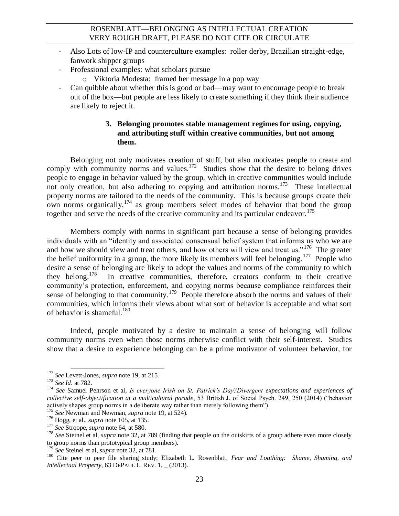- Also Lots of low-IP and counterculture examples: roller derby, Brazilian straight-edge, fanwork shipper groups
- Professional examples: what scholars pursue
	- o Viktoria Modesta: framed her message in a pop way
- Can quibble about whether this is good or bad—may want to encourage people to break out of the box—but people are less likely to create something if they think their audience are likely to reject it.

## **3. Belonging promotes stable management regimes for using, copying, and attributing stuff within creative communities, but not among them.**

Belonging not only motivates creation of stuff, but also motivates people to create and comply with community norms and values.<sup>172</sup> Studies show that the desire to belong drives people to engage in behavior valued by the group, which in creative communities would include not only creation, but also adhering to copying and attribution norms.<sup>173</sup> These intellectual property norms are tailored to the needs of the community. This is because groups create their own norms organically,  $^{174}$  as group members select modes of behavior that bond the group together and serve the needs of the creative community and its particular endeavor.<sup>175</sup>

Members comply with norms in significant part because a sense of belonging provides individuals with an "identity and associated consensual belief system that informs us who we are and how we should view and treat others, and how others will view and treat us."<sup>176</sup> The greater the belief uniformity in a group, the more likely its members will feel belonging.<sup>177</sup> People who desire a sense of belonging are likely to adopt the values and norms of the community to which they belong.<sup>178</sup> In creative communities, therefore, creators conform to their creative community's protection, enforcement, and copying norms because compliance reinforces their sense of belonging to that community.<sup>179</sup> People therefore absorb the norms and values of their communities, which informs their views about what sort of behavior is acceptable and what sort of behavior is shameful.<sup>180</sup>

Indeed, people motivated by a desire to maintain a sense of belonging will follow community norms even when those norms otherwise conflict with their self-interest. Studies show that a desire to experience belonging can be a prime motivator of volunteer behavior, for

<sup>172</sup> *See* Levett-Jones, *supra* not[e 19,](#page-3-1) at 215.

<sup>173</sup> *See Id.* at 782.

<sup>174</sup> *See* Samuel Pehrson et al, *Is everyone Irish on St. Patrick's Day?Divergent expectations and experiences of collective self-objectification at a multicultural parade*, 53 British J. of Social Psych. 249, 250 (2014) ("behavior actively shapes group norms in a deliberate way rather than merely following them")

<sup>175</sup> *See* Newman and Newman, *supra* not[e 19,](#page-3-1) at 524).

<sup>176</sup> Hogg, et al., *supra* note [105,](#page-12-0) at 135.

<sup>177</sup> *See* Stroope, *supra* not[e 64,](#page-8-0) at 580.

<sup>&</sup>lt;sup>178</sup> *See* Steinel et al, *supra* not[e 32,](#page-4-1) at 789 (finding that people on the outskirts of a group adhere even more closely to group norms than prototypical group members).

<sup>179</sup> *See* Steinel et al, *supra* note [32,](#page-4-1) at 781.

<sup>180</sup> Cite peer to peer file sharing study; Elizabeth L. Rosenblatt, *Fear and Loathing: Shame, Shaming, and Intellectual Property*, 63 DEPAUL L. REV. 1, \_ (2013).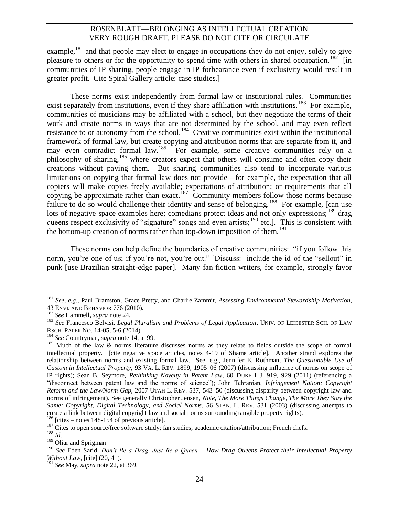example.<sup>181</sup> and that people may elect to engage in occupations they do not enjoy, solely to give pleasure to others or for the opportunity to spend time with others in shared occupation.<sup>182</sup> [in communities of IP sharing, people engage in IP forbearance even if exclusivity would result in greater profit. Cite Spiral Gallery article; case studies.]

<span id="page-23-1"></span><span id="page-23-0"></span>These norms exist independently from formal law or institutional rules. Communities exist separately from institutions, even if they share affiliation with institutions.<sup>183</sup> For example, communities of musicians may be affiliated with a school, but they negotiate the terms of their work and create norms in ways that are not determined by the school, and may even reflect resistance to or autonomy from the school.<sup>184</sup> Creative communities exist within the institutional framework of formal law, but create copying and attribution norms that are separate from it, and may even contradict formal law.<sup>185</sup> For example, some creative communities rely on a philosophy of sharing,<sup>186</sup> where creators expect that others will consume and often copy their creations without paying them. But sharing communities also tend to incorporate various limitations on copying that formal law does not provide—for example, the expectation that all copiers will make copies freely available; expectations of attribution; or requirements that all copying be approximate rather than exact.<sup>187</sup> Community members follow those norms because failure to do so would challenge their identity and sense of belonging.<sup>188</sup> For example, [can use lots of negative space examples here; comedians protect ideas and not only expressions; <sup>189</sup> drag queens respect exclusivity of "signature" songs and even artists;<sup>190</sup> etc.]. This is consistent with the bottom-up creation of norms rather than top-down imposition of them.<sup>191</sup>

These norms can help define the boundaries of creative communities: "if you follow this norm, you're one of us; if you're not, you're out." [Discuss: include the id of the "sellout" in punk [use Brazilian straight-edge paper]. Many fan fiction writers, for example, strongly favor

l

 $186$  [cites – notes 148-154 of previous article].

<sup>181</sup> *See, e.g.,* Paul Bramston, Grace Pretty, and Charlie Zammit, *Assessing Environmental Stewardship Motivation*, 43 ENVI. AND BEHAVIOR 776 (2010).

<sup>182</sup> *See* Hammell, *supra* note [24.](#page-4-2)

<sup>183</sup> *See* Francesco Belvisi, *Legal Pluralism and Problems of Legal Application*, UNIV. OF LEICESTER SCH. OF LAW RSCH. PAPER NO. 14-05, 5-6 (2014).

<sup>184</sup> *See* Countryman, *supra* not[e 14,](#page-2-0) at 99.

<sup>&</sup>lt;sup>185</sup> Much of the law & norms literature discusses norms as they relate to fields outside the scope of formal intellectual property. [cite negative space articles, notes 4-19 of Shame article]. Another strand explores the relationship between norms and existing formal law. See, e.g., Jennifer E. Rothman, *The Questionable Use of Custom in Intellectual Property*, 93 VA. L. REV. 1899, 1905–06 (2007) (discussing influence of norms on scope of IP rights); Sean B. Seymore, *Rethinking Novelty in Patent Law*, 60 DUKE L.J. 919, 929 (2011) (referencing a "disconnect between patent law and the norms of science"); John Tehranian, *Infringement Nation: Copyright Reform and the Law/Norm Gap*, 2007 UTAH L. REV. 537, 543–50 (discussing disparity between copyright law and norms of infringement). See generally Christopher Jensen, *Note, The More Things Change, The More They Stay the Same: Copyright, Digital Technology, and Social Norms*, 56 STAN. L. REV. 531 (2003) (discussing attempts to create a link between digital copyright law and social norms surrounding tangible property rights).

<sup>&</sup>lt;sup>187</sup> Cites to open source/free software study; fan studies; academic citation/attribution; French chefs.

<sup>188</sup> *Id.*

<sup>&</sup>lt;sup>189</sup> Oliar and Sprigman

<sup>190</sup> *See* Eden Sarid, *Don't Be a Drag, Just Be a Queen – How Drag Queens Protect their Intellectual Property Without Law*, [cite] (20, 41).

<sup>191</sup> *See* May, *supra* note [22,](#page-3-3) at 369.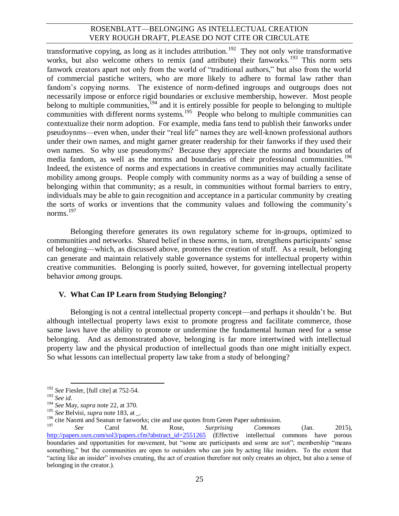transformative copying, as long as it includes attribution.<sup>192</sup> They not only write transformative works, but also welcome others to remix (and attribute) their fanworks.<sup>193</sup> This norm sets fanwork creators apart not only from the world of "traditional authors," but also from the world of commercial pastiche writers, who are more likely to adhere to formal law rather than fandom's copying norms. The existence of norm-defined ingroups and outgroups does not necessarily impose or enforce rigid boundaries or exclusive membership, however. Most people belong to multiple communities, <sup>194</sup> and it is entirely possible for people to belonging to multiple communities with different norms systems.<sup>195</sup> People who belong to multiple communities can contextualize their norm adoption. For example, media fans tend to publish their fanworks under pseudoynms—even when, under their "real life" names they are well-known professional authors under their own names, and might garner greater readership for their fanworks if they used their own names. So why use pseudonyms? Because they appreciate the norms and boundaries of media fandom, as well as the norms and boundaries of their professional communities.<sup>196</sup> Indeed, the existence of norms and expectations in creative communities may actually facilitate mobility among groups. People comply with community norms as a way of building a sense of belonging within that community; as a result, in communities without formal barriers to entry, individuals may be able to gain recognition and acceptance in a particular community by creating the sorts of works or inventions that the community values and following the community's norms.<sup>197</sup>

Belonging therefore generates its own regulatory scheme for in-groups, optimized to communities and networks. Shared belief in these norms, in turn, strengthens participants' sense of belonging—which, as discussed above, promotes the creation of stuff. As a result, belonging can generate and maintain relatively stable governance systems for intellectual property within creative communities. Belonging is poorly suited, however, for governing intellectual property behavior *among* groups.

## **V. What Can IP Learn from Studying Belonging?**

Belonging is not a central intellectual property concept—and perhaps it shouldn't be. But although intellectual property laws exist to promote progress and facilitate commerce, those same laws have the ability to promote or undermine the fundamental human need for a sense belonging. And as demonstrated above, belonging is far more intertwined with intellectual property law and the physical production of intellectual goods than one might initially expect. So what lessons can intellectual property law take from a study of belonging?

 $\overline{a}$ <sup>192</sup> *See* Fiesler, [full cite] at 752-54.

<sup>193</sup> *See id.*

<sup>194</sup> *See* May, *supra* note [22,](#page-3-3) at 370.

<sup>195</sup> *See* Belvisi, *supra* not[e 183,](#page-23-0) at \_.

 $196$  cite Naomi and Seanan re fanworks; cite and use quotes from Green Paper submission.

<sup>197</sup> *See* Carol M. Rose, *Surprising Commons* (Jan. 2015), [http://papers.ssrn.com/sol3/papers.cfm?abstract\\_id=2551265](http://papers.ssrn.com/sol3/papers.cfm?abstract_id=2551265) (Effective intellectual commons have porous boundaries and opportunities for movement, but "some are participants and some are not"; membership "means something," but the communities are open to outsiders who can join by acting like insiders. To the extent that "acting like an insider" involves creating, the act of creation therefore not only creates an object, but also a sense of belonging in the creator.).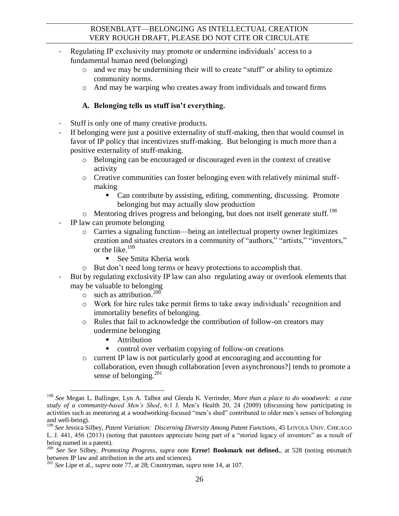- Regulating IP exclusivity may promote or undermine individuals' access to a fundamental human need (belonging)
	- o and we may be undermining their will to create "stuff" or ability to optimize community norms.
	- $\circ$  And may be warping who creates away from individuals and toward firms

## **A. Belonging tells us stuff isn't everything.**

- Stuff is only one of many creative products.
- If belonging were just a positive externality of stuff-making, then that would counsel in favor of IP policy that incentivizes stuff-making. But belonging is much more than a positive externality of stuff-making.
	- o Belonging can be encouraged or discouraged even in the context of creative activity
	- $\circ$  Creative communities can foster belonging even with relatively minimal stuffmaking
		- Can contribute by assisting, editing, commenting, discussing. Promote belonging but may actually slow production
	- $\circ$  Mentoring drives progress and belonging, but does not itself generate stuff.<sup>198</sup>
- IP law can promote belonging
	- o Carries a signaling function—being an intellectual property owner legitimizes creation and situates creators in a community of "authors," "artists," "inventors," or the like.<sup>199</sup>
		- See Smita Kheria work
	- o But don't need long terms or heavy protections to accomplish that.
- But by regulating exclusivity IP law can also regulating away or overlook elements that may be valuable to belonging
	- $\circ$  such as attribution.<sup>200</sup>
	- o Work for hire rules take permit firms to take away individuals' recognition and immortality benefits of belonging.
	- o Rules that fail to acknowledge the contribution of follow-on creators may undermine belonging
		- Attribution
		- control over verbatim copying of follow-on creations
	- o current IP law is not particularly good at encouraging and accounting for collaboration, even though collaboration [even asynchronous?] tends to promote a sense of belonging.<sup>201</sup>

 $\overline{a}$ <sup>198</sup> *See* Megan L. Ballinger, Lyn A. Talbot and Glenda K. Verrinder, *More than a place to do woodwork: a case study of a community-based Men's Shed*, 6:1 J. Men's Health 20, 24 (2009) (discussing how participating in activities such as mentoring at a woodworking-focused "men's shed" contributed to older men's senses of belonging and well-being).

<sup>199</sup> *See* Jessica Silbey, *Patent Variation: Discerning Diversity Among Patent Functions*, 45 LOYOLA UNIV. CHICAGO L. J. 441, 456 (2013) (noting that patentees appreciate being part of a "storied legacy of inventors" as a result of being named in a patent).

<sup>200</sup> *See See* Silbey, *Promoting Progress*, *supra* note **Error! Bookmark not defined.**, at 528 (noting mismatch between IP law and attribution in the arts and sciences).

<sup>201</sup> *See* Lipe et al., *supra* note [77,](#page-9-0) at 28; Countryman, *supra* note [14,](#page-2-0) at 107.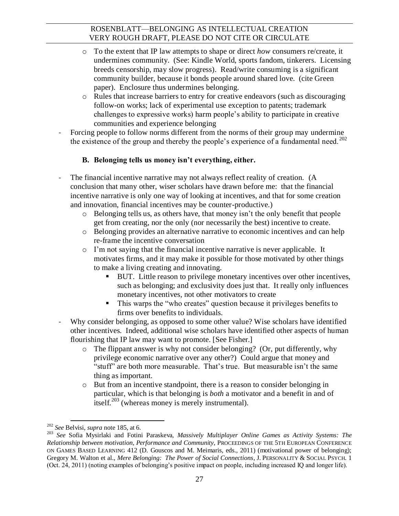- o To the extent that IP law attempts to shape or direct *how* consumers re/create, it undermines community. (See: Kindle World, sports fandom, tinkerers. Licensing breeds censorship, may slow progress). Read/write consuming is a significant community builder, because it bonds people around shared love. (cite Green paper). Enclosure thus undermines belonging.
- o Rules that increase barriers to entry for creative endeavors (such as discouraging follow-on works; lack of experimental use exception to patents; trademark challenges to expressive works) harm people's ability to participate in creative communities and experience belonging
- Forcing people to follow norms different from the norms of their group may undermine the existence of the group and thereby the people's experience of a fundamental need.<sup>202</sup>

## **B. Belonging tells us money isn't everything, either.**

- The financial incentive narrative may not always reflect reality of creation. (A conclusion that many other, wiser scholars have drawn before me: that the financial incentive narrative is only one way of looking at incentives, and that for some creation and innovation, financial incentives may be counter-productive.)
	- o Belonging tells us, as others have, that money isn't the only benefit that people get from creating, nor the only (nor necessarily the best) incentive to create.
	- o Belonging provides an alternative narrative to economic incentives and can help re-frame the incentive conversation
	- o I'm not saying that the financial incentive narrative is never applicable. It motivates firms, and it may make it possible for those motivated by other things to make a living creating and innovating.
		- BUT. Little reason to privilege monetary incentives over other incentives, such as belonging; and exclusivity does just that. It really only influences monetary incentives, not other motivators to create
		- This warps the "who creates" question because it privileges benefits to firms over benefits to individuals.
- Why consider belonging, as opposed to some other value? Wise scholars have identified other incentives. Indeed, additional wise scholars have identified other aspects of human flourishing that IP law may want to promote. [See Fisher.]
	- o The flippant answer is why not consider belonging? (Or, put differently, why privilege economic narrative over any other?) Could argue that money and "stuff" are both more measurable. That's true. But measurable isn't the same thing as important.
	- o But from an incentive standpoint, there is a reason to consider belonging in particular, which is that belonging is *both* a motivator and a benefit in and of itself.<sup>203</sup> (whereas money is merely instrumental).

<span id="page-26-0"></span> $\overline{a}$ <sup>202</sup> *See* Belvisi, *supra* not[e 185,](#page-23-1) at 6.

<sup>203</sup> *See* Sofia Mysirlaki and Fotini Paraskeva, *Massively Multiplayer Online Games as Activity Systems: The Relationship between motivation, Performance and Community*, PROCEEDINGS OF THE 5TH EUROPEAN CONFERENCE ON GAMES BASED LEARNING 412 (D. Gouscos and M. Meimaris, eds., 2011) (motivational power of belonging); Gregory M. Walton et al., *Mere Belonging: The Power of Social Connections*, J. PERSONALITY & SOCIAL PSYCH. 1 (Oct. 24, 2011) (noting examples of belonging's positive impact on people, including increased IQ and longer life).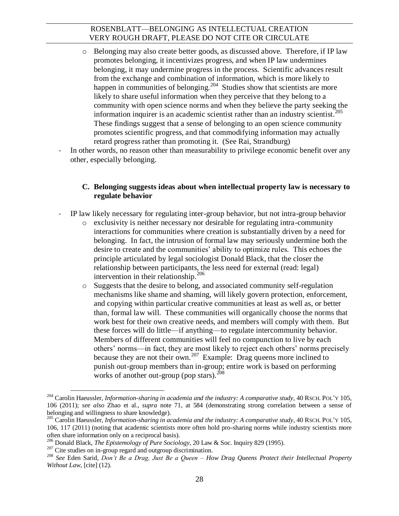- o Belonging may also create better goods, as discussed above. Therefore, if IP law promotes belonging, it incentivizes progress, and when IP law undermines belonging, it may undermine progress in the process. Scientific advances result from the exchange and combination of information, which is more likely to happen in communities of belonging.<sup>204</sup> Studies show that scientists are more likely to share useful information when they perceive that they belong to a community with open science norms and when they believe the party seeking the information inquirer is an academic scientist rather than an industry scientist.<sup>205</sup> These findings suggest that a sense of belonging to an open science community promotes scientific progress, and that commodifying information may actually retard progress rather than promoting it. (See Rai, Strandburg)
- In other words, no reason other than measurability to privilege economic benefit over any other, especially belonging.

#### **C. Belonging suggests ideas about when intellectual property law is necessary to regulate behavior**

- IP law likely necessary for regulating inter-group behavior, but not intra-group behavior
	- o exclusivity is neither necessary nor desirable for regulating intra-community interactions for communities where creation is substantially driven by a need for belonging. In fact, the intrusion of formal law may seriously undermine both the desire to create and the communities' ability to optimize rules. This echoes the principle articulated by legal sociologist Donald Black, that the closer the relationship between participants, the less need for external (read: legal) intervention in their relationship.<sup>206</sup>
	- o Suggests that the desire to belong, and associated community self-regulation mechanisms like shame and shaming, will likely govern protection, enforcement, and copying within particular creative communities at least as well as, or better than, formal law will. These communities will organically choose the norms that work best for their own creative needs, and members will comply with them. But these forces will do little—if anything—to regulate intercommunity behavior. Members of different communities will feel no compunction to live by each others' norms—in fact, they are most likely to reject each others' norms precisely because they are not their own.<sup>207</sup> Example: Drag queens more inclined to punish out-group members than in-group; entire work is based on performing works of another out-group (pop stars).  $^{208}$

<sup>204</sup> Carolin Haeussler, *Information-sharing in academia and the industry: A comparative study*, 40 RSCH. POL'<sup>Y</sup> 105, 106 (2011); *see also* Zhao et al., *supra* note [71,](#page-8-1) at 584 (demonstrating strong correlation between a sense of belonging and willingness to share knowledge).

<sup>205</sup> Carolin Haeussler, *Information-sharing in academia and the industry: A comparative study*, 40 RSCH. POL'<sup>Y</sup> 105, 106, 117 (2011) (noting that academic scientists more often hold pro-sharing norms while industry scientists more often share information only on a reciprocal basis).

<sup>206</sup> Donald Black, *The Epistemology of Pure Sociology*, 20 Law & Soc. Inquiry 829 (1995).

<sup>&</sup>lt;sup>207</sup> Cite studies on in-group regard and outgroup discrimination.

<sup>208</sup> *See* Eden Sarid, *Don't Be a Drag, Just Be a Queen – How Drag Queens Protect their Intellectual Property Without Law*, [cite] (12).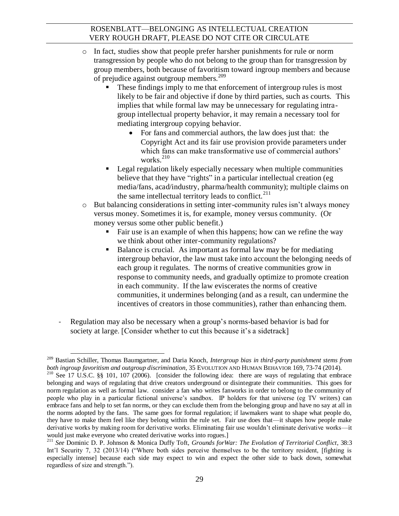- o In fact, studies show that people prefer harsher punishments for rule or norm transgression by people who do not belong to the group than for transgression by group members, both because of favoritism toward ingroup members and because of prejudice against outgroup members.<sup>209</sup>
	- These findings imply to me that enforcement of intergroup rules is most likely to be fair and objective if done by third parties, such as courts. This implies that while formal law may be unnecessary for regulating intragroup intellectual property behavior, it may remain a necessary tool for mediating intergroup copying behavior.
		- For fans and commercial authors, the law does just that: the Copyright Act and its fair use provision provide parameters under which fans can make transformative use of commercial authors' works. $^{210}$
	- Legal regulation likely especially necessary when multiple communities believe that they have "rights" in a particular intellectual creation (eg media/fans, acad/industry, pharma/health community); multiple claims on the same intellectual territory leads to conflict.<sup>211</sup>
- o But balancing considerations in setting inter-community rules isn't always money versus money. Sometimes it is, for example, money versus community. (Or money versus some other public benefit.)
	- Fair use is an example of when this happens; how can we refine the way we think about other inter-community regulations?
	- Balance is crucial. As important as formal law may be for mediating intergroup behavior, the law must take into account the belonging needs of each group it regulates. The norms of creative communities grow in response to community needs, and gradually optimize to promote creation in each community. If the law eviscerates the norms of creative communities, it undermines belonging (and as a result, can undermine the incentives of creators in those communities), rather than enhancing them.
- Regulation may also be necessary when a group's norms-based behavior is bad for society at large. [Consider whether to cut this because it's a sidetrack]

 $\overline{a}$ <sup>209</sup> Bastian Schiller, Thomas Baumgartner, and Daria Knoch, *Intergroup bias in third-party punishment stems from both ingroup favoritism and outgroup discrimination*, 35 EVOLUTION AND HUMAN BEHAVIOR 169, 73-74 (2014).

<sup>&</sup>lt;sup>210</sup> See 17 U.S.C. §§ 101, 107 (2006). [consider the following idea: there are ways of regulating that embrace belonging and ways of regulating that drive creators underground or disintegrate their communities. This goes for norm regulation as well as formal law. consider a fan who writes fanworks in order to belong to the community of people who play in a particular fictional universe's sandbox. IP holders for that universe (eg TV writers) can embrace fans and help to set fan norms, or they can exclude them from the belonging group and have no say at all in the norms adopted by the fans. The same goes for formal regulation; if lawmakers want to shape what people do, they have to make them feel like they belong within the rule set. Fair use does that—it shapes how people make derivative works by making room for derivative works. Eliminating fair use wouldn't eliminate derivative works—it would just make everyone who created derivative works into rogues.

<sup>211</sup> *See* Dominic D. P. Johnson & Monica Duffy Toft, *Grounds forWar: The Evolution of Territorial Conflict*, 38:3 Int'l Security 7, 32 (2013/14) ("Where both sides perceive themselves to be the territory resident, [fighting is especially intense] because each side may expect to win and expect the other side to back down, somewhat regardless of size and strength.").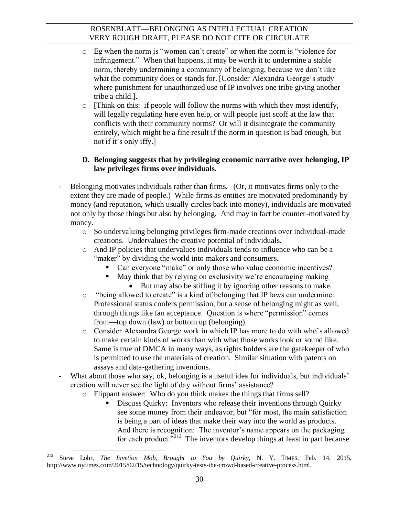- o Eg when the norm is "women can't create" or when the norm is "violence for infringement." When that happens, it may be worth it to undermine a stable norm, thereby undermining a community of belonging, because we don't like what the community does or stands for. [Consider Alexandra George's study where punishment for unauthorized use of IP involves one tribe giving another tribe a child.].
- $\circ$  [Think on this: if people will follow the norms with which they most identify, will legally regulating here even help, or will people just scoff at the law that conflicts with their community norms? Or will it disintegrate the community entirely, which might be a fine result if the norm in question is bad enough, but not if it's only iffy.]

## **D. Belonging suggests that by privileging economic narrative over belonging, IP law privileges firms over individuals.**

- Belonging motivates individuals rather than firms. (Or, it motivates firms only to the extent they are made of people.) While firms as entities are motivated predominantly by money (and reputation, which usually circles back into money), individuals are motivated not only by those things but also by belonging. And may in fact be counter-motivated by money.
	- o So undervaluing belonging privileges firm-made creations over individual-made creations. Undervalues the creative potential of individuals.
	- o And IP policies that undervalues individuals tends to influence who can be a "maker" by dividing the world into makers and consumers.
		- Can everyone "make" or only those who value economic incentives?
		- May think that by relying on exclusivity we're encouraging making
			- But may also be stifling it by ignoring other reasons to make.
	- o "being allowed to create" is a kind of belonging that IP laws can undermine. Professional status confers permission, but a sense of belonging might as well, through things like fan acceptance. Question is where "permission" comes from—top down (law) or bottom up (belonging).
	- o Consider Alexandra George work in which IP has more to do with who's allowed to make certain kinds of works than with what those works look or sound like. Same is true of DMCA in many ways, as rights holders are the gatekeeper of who is permitted to use the materials of creation. Similar situation with patents on assays and data-gathering inventions.
- What about those who say, ok, belonging is a useful idea for individuals, but individuals' creation will never see the light of day without firms' assistance?
	- o Flippant answer: Who do you think makes the things that firms sell?
		- Discuss Quirky: Inventors who release their inventions through Quirky see some money from their endeavor, but "for most, the main satisfaction is being a part of ideas that make their way into the world as products. And there is recognition: The inventor's name appears on the packaging for each product. $i^{212}$  The inventors develop things at least in part because

 $\overline{a}$ <sup>212</sup> Steve Lohr, *The Invetion Mob, Brought to You by Quirky*, N. Y. TIMES, Feb. 14, 2015, http://www.nytimes.com/2015/02/15/technology/quirky-tests-the-crowd-based-creative-process.html.